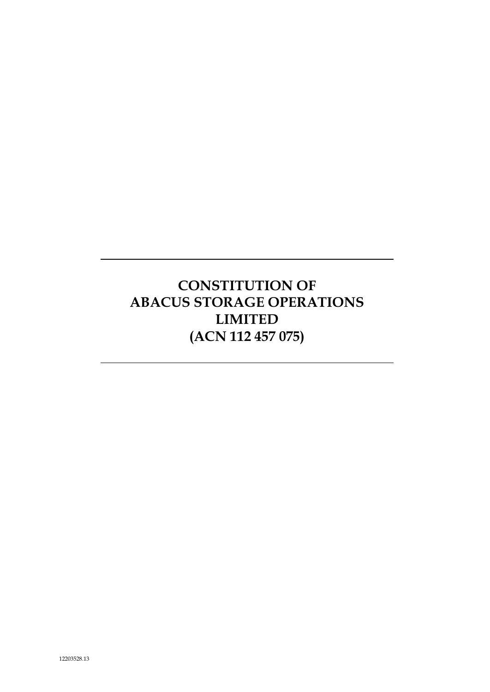# **CONSTITUTION OF ABACUS STORAGE OPERATIONS LIMITED (ACN 112 457 075)**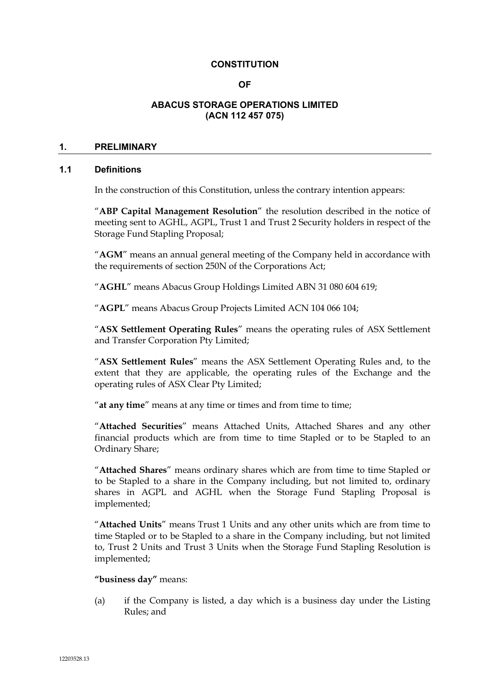#### **CONSTITUTION**

#### **OF**

#### **ABACUS STORAGE OPERATIONS LIMITED (ACN 112 457 075)**

# **1. PRELIMINARY**

# **1.1 Definitions**

In the construction of this Constitution, unless the contrary intention appears:

"**ABP Capital Management Resolution**" the resolution described in the notice of meeting sent to AGHL, AGPL, Trust 1 and Trust 2 Security holders in respect of the Storage Fund Stapling Proposal;

"**AGM**" means an annual general meeting of the Company held in accordance with the requirements of section 250N of the Corporations Act;

"**AGHL**" means Abacus Group Holdings Limited ABN 31 080 604 619;

"**AGPL**" means Abacus Group Projects Limited ACN 104 066 104;

"**ASX Settlement Operating Rules**" means the operating rules of ASX Settlement and Transfer Corporation Pty Limited;

"**ASX Settlement Rules**" means the ASX Settlement Operating Rules and, to the extent that they are applicable, the operating rules of the Exchange and the operating rules of ASX Clear Pty Limited;

"**at any time**" means at any time or times and from time to time;

"**Attached Securities**" means Attached Units, Attached Shares and any other financial products which are from time to time Stapled or to be Stapled to an Ordinary Share;

"**Attached Shares**" means ordinary shares which are from time to time Stapled or to be Stapled to a share in the Company including, but not limited to, ordinary shares in AGPL and AGHL when the Storage Fund Stapling Proposal is implemented;

"**Attached Units**" means Trust 1 Units and any other units which are from time to time Stapled or to be Stapled to a share in the Company including, but not limited to, Trust 2 Units and Trust 3 Units when the Storage Fund Stapling Resolution is implemented;

#### **"business day"** means:

(a) if the Company is listed, a day which is a business day under the Listing Rules; and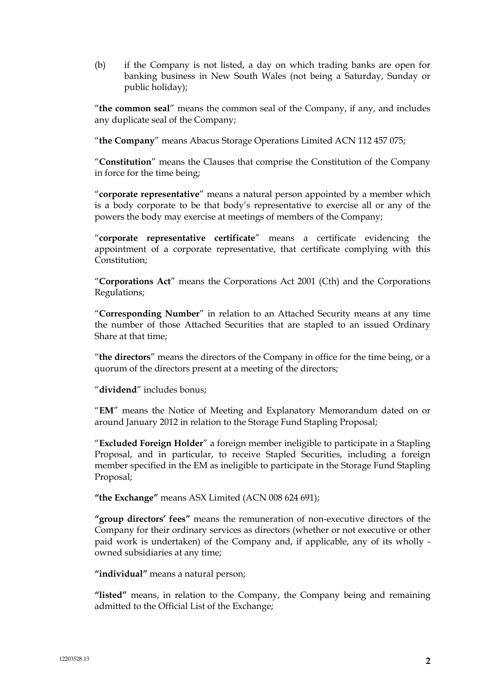(b) if the Company is not listed, a day on which trading banks are open for banking business in New South Wales (not being a Saturday, Sunday or public holiday);

"**the common seal**" means the common seal of the Company, if any, and includes any duplicate seal of the Company;

"**the Company**" means Abacus Storage Operations Limited ACN 112 457 075;

"**Constitution**" means the Clauses that comprise the Constitution of the Company in force for the time being;

"**corporate representative**" means a natural person appointed by a member which is a body corporate to be that body's representative to exercise all or any of the powers the body may exercise at meetings of members of the Company;

"**corporate representative certificate**" means a certificate evidencing the appointment of a corporate representative, that certificate complying with this Constitution;

"**Corporations Act**" means the Corporations Act 2001 (Cth) and the Corporations Regulations;

"**Corresponding Number**" in relation to an Attached Security means at any time the number of those Attached Securities that are stapled to an issued Ordinary Share at that time;

"**the directors**" means the directors of the Company in office for the time being, or a quorum of the directors present at a meeting of the directors;

"**dividend**" includes bonus;

"**EM**" means the Notice of Meeting and Explanatory Memorandum dated on or around January 2012 in relation to the Storage Fund Stapling Proposal;

"**Excluded Foreign Holder**" a foreign member ineligible to participate in a Stapling Proposal, and in particular, to receive Stapled Securities, including a foreign member specified in the EM as ineligible to participate in the Storage Fund Stapling Proposal;

**"the Exchange"** means ASX Limited (ACN 008 624 691);

**"group directors' fees"** means the remuneration of non-executive directors of the Company for their ordinary services as directors (whether or not executive or other paid work is undertaken) of the Company and, if applicable, any of its wholly owned subsidiaries at any time;

**"individual"** means a natural person;

**"listed"** means, in relation to the Company, the Company being and remaining admitted to the Official List of the Exchange;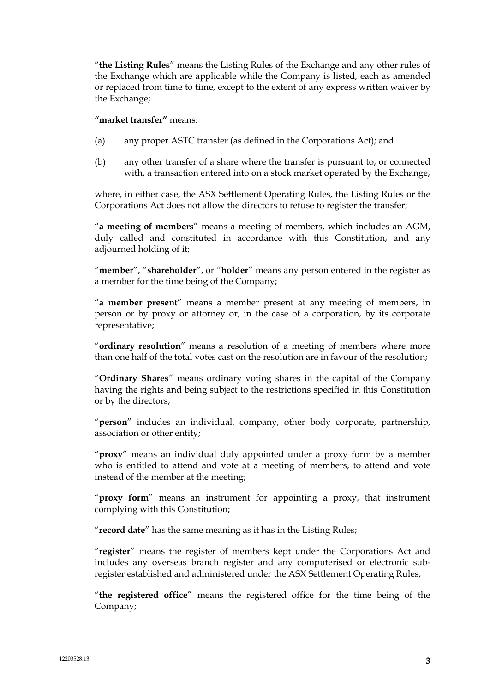"**the Listing Rules**" means the Listing Rules of the Exchange and any other rules of the Exchange which are applicable while the Company is listed, each as amended or replaced from time to time, except to the extent of any express written waiver by the Exchange;

#### **"market transfer"** means:

- (a) any proper ASTC transfer (as defined in the Corporations Act); and
- (b) any other transfer of a share where the transfer is pursuant to, or connected with, a transaction entered into on a stock market operated by the Exchange,

where, in either case, the ASX Settlement Operating Rules, the Listing Rules or the Corporations Act does not allow the directors to refuse to register the transfer;

"**a meeting of members**" means a meeting of members, which includes an AGM, duly called and constituted in accordance with this Constitution, and any adjourned holding of it;

"**member**", "**shareholder**", or "**holder**" means any person entered in the register as a member for the time being of the Company;

"**a member present**" means a member present at any meeting of members, in person or by proxy or attorney or, in the case of a corporation, by its corporate representative;

"**ordinary resolution**" means a resolution of a meeting of members where more than one half of the total votes cast on the resolution are in favour of the resolution;

"**Ordinary Shares**" means ordinary voting shares in the capital of the Company having the rights and being subject to the restrictions specified in this Constitution or by the directors;

"**person**" includes an individual, company, other body corporate, partnership, association or other entity;

"**proxy**" means an individual duly appointed under a proxy form by a member who is entitled to attend and vote at a meeting of members, to attend and vote instead of the member at the meeting;

"**proxy form**" means an instrument for appointing a proxy, that instrument complying with this Constitution;

"**record date**" has the same meaning as it has in the Listing Rules;

"**register**" means the register of members kept under the Corporations Act and includes any overseas branch register and any computerised or electronic subregister established and administered under the ASX Settlement Operating Rules;

"**the registered office**" means the registered office for the time being of the Company;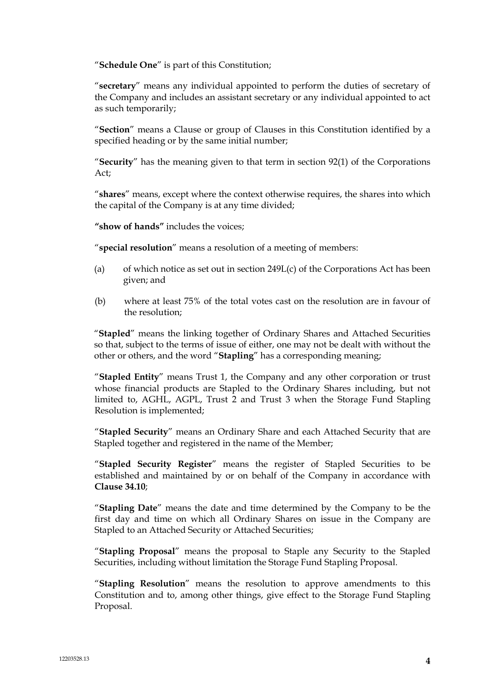"**Schedule One**" is part of this Constitution;

"**secretary**" means any individual appointed to perform the duties of secretary of the Company and includes an assistant secretary or any individual appointed to act as such temporarily;

"**Section**" means a Clause or group of Clauses in this Constitution identified by a specified heading or by the same initial number;

"**Security**" has the meaning given to that term in section 92(1) of the Corporations Act;

"**shares**" means, except where the context otherwise requires, the shares into which the capital of the Company is at any time divided;

**"show of hands"** includes the voices;

"**special resolution**" means a resolution of a meeting of members:

- (a) of which notice as set out in section 249L(c) of the Corporations Act has been given; and
- (b) where at least 75% of the total votes cast on the resolution are in favour of the resolution;

"**Stapled**" means the linking together of Ordinary Shares and Attached Securities so that, subject to the terms of issue of either, one may not be dealt with without the other or others, and the word "**Stapling**" has a corresponding meaning;

"**Stapled Entity**" means Trust 1, the Company and any other corporation or trust whose financial products are Stapled to the Ordinary Shares including, but not limited to, AGHL, AGPL, Trust 2 and Trust 3 when the Storage Fund Stapling Resolution is implemented;

"**Stapled Security**" means an Ordinary Share and each Attached Security that are Stapled together and registered in the name of the Member;

"**Stapled Security Register**" means the register of Stapled Securities to be established and maintained by or on behalf of the Company in accordance with **Clause 34.10**;

"**Stapling Date**" means the date and time determined by the Company to be the first day and time on which all Ordinary Shares on issue in the Company are Stapled to an Attached Security or Attached Securities;

"**Stapling Proposal**" means the proposal to Staple any Security to the Stapled Securities, including without limitation the Storage Fund Stapling Proposal.

"**Stapling Resolution**" means the resolution to approve amendments to this Constitution and to, among other things, give effect to the Storage Fund Stapling Proposal.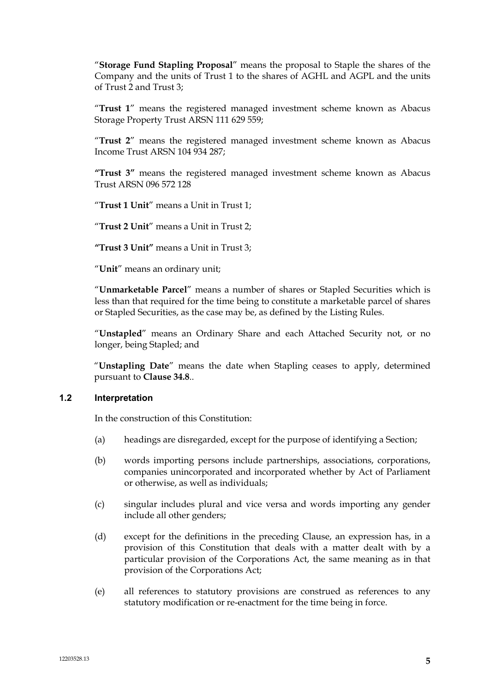"**Storage Fund Stapling Proposal**" means the proposal to Staple the shares of the Company and the units of Trust 1 to the shares of AGHL and AGPL and the units of Trust 2 and Trust 3;

"**Trust 1**" means the registered managed investment scheme known as Abacus Storage Property Trust ARSN 111 629 559;

"**Trust 2**" means the registered managed investment scheme known as Abacus Income Trust ARSN 104 934 287;

**"Trust 3"** means the registered managed investment scheme known as Abacus Trust ARSN 096 572 128

"**Trust 1 Unit**" means a Unit in Trust 1;

"**Trust 2 Unit**" means a Unit in Trust 2;

**"Trust 3 Unit"** means a Unit in Trust 3;

"**Unit**" means an ordinary unit;

"**Unmarketable Parcel**" means a number of shares or Stapled Securities which is less than that required for the time being to constitute a marketable parcel of shares or Stapled Securities, as the case may be, as defined by the Listing Rules.

"**Unstapled**" means an Ordinary Share and each Attached Security not, or no longer, being Stapled; and

"**Unstapling Date**" means the date when Stapling ceases to apply, determined pursuant to **Clause 34.8**..

#### **1.2 Interpretation**

In the construction of this Constitution:

- (a) headings are disregarded, except for the purpose of identifying a Section;
- (b) words importing persons include partnerships, associations, corporations, companies unincorporated and incorporated whether by Act of Parliament or otherwise, as well as individuals;
- (c) singular includes plural and vice versa and words importing any gender include all other genders;
- (d) except for the definitions in the preceding Clause, an expression has, in a provision of this Constitution that deals with a matter dealt with by a particular provision of the Corporations Act, the same meaning as in that provision of the Corporations Act;
- (e) all references to statutory provisions are construed as references to any statutory modification or re-enactment for the time being in force.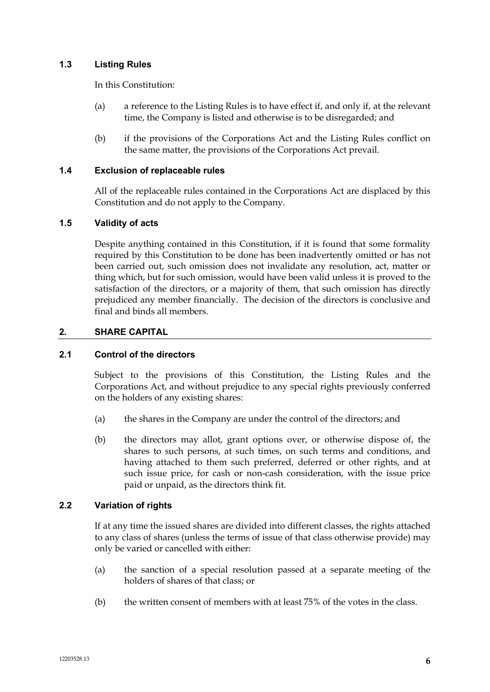## **1.3 Listing Rules**

In this Constitution:

- (a) a reference to the Listing Rules is to have effect if, and only if, at the relevant time, the Company is listed and otherwise is to be disregarded; and
- (b) if the provisions of the Corporations Act and the Listing Rules conflict on the same matter, the provisions of the Corporations Act prevail.

#### **1.4 Exclusion of replaceable rules**

All of the replaceable rules contained in the Corporations Act are displaced by this Constitution and do not apply to the Company.

## **1.5 Validity of acts**

Despite anything contained in this Constitution, if it is found that some formality required by this Constitution to be done has been inadvertently omitted or has not been carried out, such omission does not invalidate any resolution, act, matter or thing which, but for such omission, would have been valid unless it is proved to the satisfaction of the directors, or a majority of them, that such omission has directly prejudiced any member financially. The decision of the directors is conclusive and final and binds all members.

## **2. SHARE CAPITAL**

#### **2.1 Control of the directors**

Subject to the provisions of this Constitution, the Listing Rules and the Corporations Act, and without prejudice to any special rights previously conferred on the holders of any existing shares:

- (a) the shares in the Company are under the control of the directors; and
- (b) the directors may allot, grant options over, or otherwise dispose of, the shares to such persons, at such times, on such terms and conditions, and having attached to them such preferred, deferred or other rights, and at such issue price, for cash or non-cash consideration, with the issue price paid or unpaid, as the directors think fit.

#### **2.2 Variation of rights**

If at any time the issued shares are divided into different classes, the rights attached to any class of shares (unless the terms of issue of that class otherwise provide) may only be varied or cancelled with either:

- (a) the sanction of a special resolution passed at a separate meeting of the holders of shares of that class; or
- (b) the written consent of members with at least 75% of the votes in the class.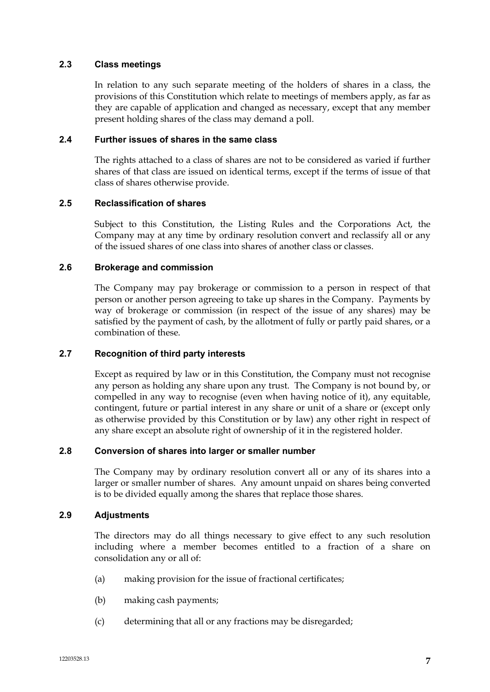## **2.3 Class meetings**

In relation to any such separate meeting of the holders of shares in a class, the provisions of this Constitution which relate to meetings of members apply, as far as they are capable of application and changed as necessary, except that any member present holding shares of the class may demand a poll.

#### **2.4 Further issues of shares in the same class**

The rights attached to a class of shares are not to be considered as varied if further shares of that class are issued on identical terms, except if the terms of issue of that class of shares otherwise provide.

#### **2.5 Reclassification of shares**

Subject to this Constitution, the Listing Rules and the Corporations Act, the Company may at any time by ordinary resolution convert and reclassify all or any of the issued shares of one class into shares of another class or classes.

#### **2.6 Brokerage and commission**

The Company may pay brokerage or commission to a person in respect of that person or another person agreeing to take up shares in the Company. Payments by way of brokerage or commission (in respect of the issue of any shares) may be satisfied by the payment of cash, by the allotment of fully or partly paid shares, or a combination of these.

## **2.7 Recognition of third party interests**

Except as required by law or in this Constitution, the Company must not recognise any person as holding any share upon any trust. The Company is not bound by, or compelled in any way to recognise (even when having notice of it), any equitable, contingent, future or partial interest in any share or unit of a share or (except only as otherwise provided by this Constitution or by law) any other right in respect of any share except an absolute right of ownership of it in the registered holder.

#### **2.8 Conversion of shares into larger or smaller number**

The Company may by ordinary resolution convert all or any of its shares into a larger or smaller number of shares. Any amount unpaid on shares being converted is to be divided equally among the shares that replace those shares.

#### **2.9 Adjustments**

The directors may do all things necessary to give effect to any such resolution including where a member becomes entitled to a fraction of a share on consolidation any or all of:

- (a) making provision for the issue of fractional certificates;
- (b) making cash payments;
- (c) determining that all or any fractions may be disregarded;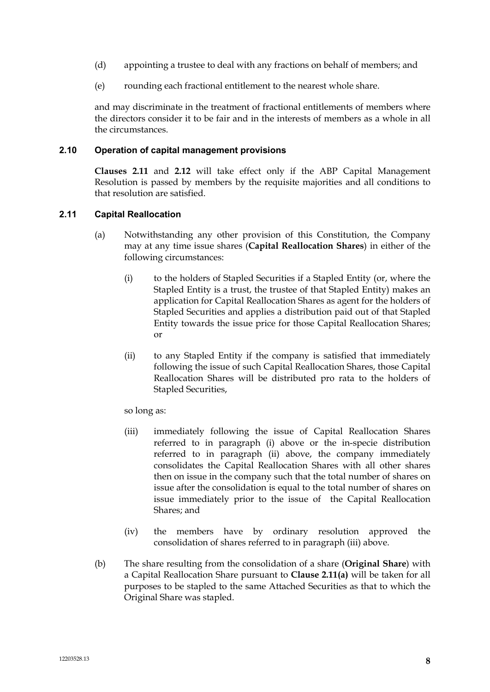- (d) appointing a trustee to deal with any fractions on behalf of members; and
- (e) rounding each fractional entitlement to the nearest whole share.

and may discriminate in the treatment of fractional entitlements of members where the directors consider it to be fair and in the interests of members as a whole in all the circumstances.

#### **2.10 Operation of capital management provisions**

**Clauses 2.11** and **2.12** will take effect only if the ABP Capital Management Resolution is passed by members by the requisite majorities and all conditions to that resolution are satisfied.

#### **2.11 Capital Reallocation**

- (a) Notwithstanding any other provision of this Constitution, the Company may at any time issue shares (**Capital Reallocation Shares**) in either of the following circumstances:
	- (i) to the holders of Stapled Securities if a Stapled Entity (or, where the Stapled Entity is a trust, the trustee of that Stapled Entity) makes an application for Capital Reallocation Shares as agent for the holders of Stapled Securities and applies a distribution paid out of that Stapled Entity towards the issue price for those Capital Reallocation Shares; or
	- (ii) to any Stapled Entity if the company is satisfied that immediately following the issue of such Capital Reallocation Shares, those Capital Reallocation Shares will be distributed pro rata to the holders of Stapled Securities,

so long as:

- (iii) immediately following the issue of Capital Reallocation Shares referred to in paragraph (i) above or the in-specie distribution referred to in paragraph (ii) above, the company immediately consolidates the Capital Reallocation Shares with all other shares then on issue in the company such that the total number of shares on issue after the consolidation is equal to the total number of shares on issue immediately prior to the issue of the Capital Reallocation Shares; and
- (iv) the members have by ordinary resolution approved the consolidation of shares referred to in paragraph (iii) above.
- (b) The share resulting from the consolidation of a share (**Original Share**) with a Capital Reallocation Share pursuant to **Clause 2.11(a)** will be taken for all purposes to be stapled to the same Attached Securities as that to which the Original Share was stapled.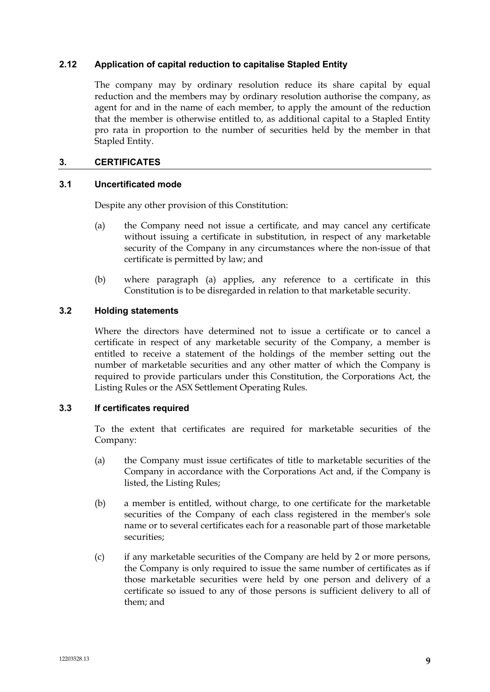#### **2.12 Application of capital reduction to capitalise Stapled Entity**

The company may by ordinary resolution reduce its share capital by equal reduction and the members may by ordinary resolution authorise the company, as agent for and in the name of each member, to apply the amount of the reduction that the member is otherwise entitled to, as additional capital to a Stapled Entity pro rata in proportion to the number of securities held by the member in that Stapled Entity.

#### **3. CERTIFICATES**

# **3.1 Uncertificated mode**

Despite any other provision of this Constitution:

- (a) the Company need not issue a certificate, and may cancel any certificate without issuing a certificate in substitution, in respect of any marketable security of the Company in any circumstances where the non-issue of that certificate is permitted by law; and
- (b) where paragraph (a) applies, any reference to a certificate in this Constitution is to be disregarded in relation to that marketable security.

#### **3.2 Holding statements**

Where the directors have determined not to issue a certificate or to cancel a certificate in respect of any marketable security of the Company, a member is entitled to receive a statement of the holdings of the member setting out the number of marketable securities and any other matter of which the Company is required to provide particulars under this Constitution, the Corporations Act, the Listing Rules or the ASX Settlement Operating Rules.

## **3.3 If certificates required**

To the extent that certificates are required for marketable securities of the Company:

- (a) the Company must issue certificates of title to marketable securities of the Company in accordance with the Corporations Act and, if the Company is listed, the Listing Rules;
- (b) a member is entitled, without charge, to one certificate for the marketable securities of the Company of each class registered in the member's sole name or to several certificates each for a reasonable part of those marketable securities;
- (c) if any marketable securities of the Company are held by 2 or more persons, the Company is only required to issue the same number of certificates as if those marketable securities were held by one person and delivery of a certificate so issued to any of those persons is sufficient delivery to all of them; and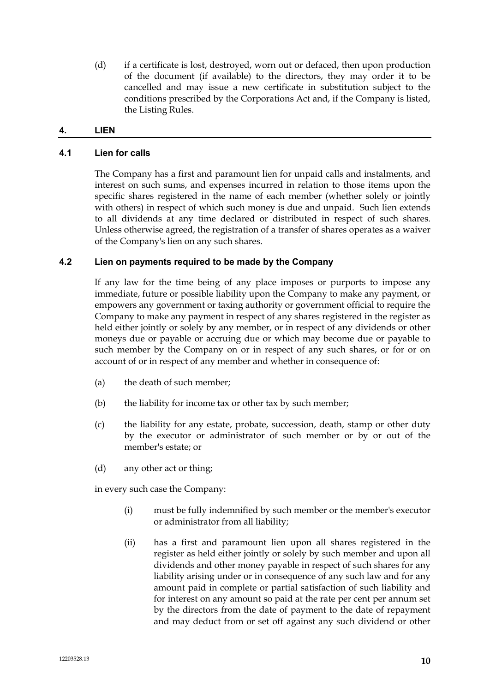(d) if a certificate is lost, destroyed, worn out or defaced, then upon production of the document (if available) to the directors, they may order it to be cancelled and may issue a new certificate in substitution subject to the conditions prescribed by the Corporations Act and, if the Company is listed, the Listing Rules.

# **4. LIEN**

#### **4.1 Lien for calls**

The Company has a first and paramount lien for unpaid calls and instalments, and interest on such sums, and expenses incurred in relation to those items upon the specific shares registered in the name of each member (whether solely or jointly with others) in respect of which such money is due and unpaid. Such lien extends to all dividends at any time declared or distributed in respect of such shares. Unless otherwise agreed, the registration of a transfer of shares operates as a waiver of the Company's lien on any such shares.

#### **4.2 Lien on payments required to be made by the Company**

If any law for the time being of any place imposes or purports to impose any immediate, future or possible liability upon the Company to make any payment, or empowers any government or taxing authority or government official to require the Company to make any payment in respect of any shares registered in the register as held either jointly or solely by any member, or in respect of any dividends or other moneys due or payable or accruing due or which may become due or payable to such member by the Company on or in respect of any such shares, or for or on account of or in respect of any member and whether in consequence of:

- (a) the death of such member;
- (b) the liability for income tax or other tax by such member;
- (c) the liability for any estate, probate, succession, death, stamp or other duty by the executor or administrator of such member or by or out of the member's estate; or
- (d) any other act or thing;

in every such case the Company:

- (i) must be fully indemnified by such member or the member's executor or administrator from all liability;
- (ii) has a first and paramount lien upon all shares registered in the register as held either jointly or solely by such member and upon all dividends and other money payable in respect of such shares for any liability arising under or in consequence of any such law and for any amount paid in complete or partial satisfaction of such liability and for interest on any amount so paid at the rate per cent per annum set by the directors from the date of payment to the date of repayment and may deduct from or set off against any such dividend or other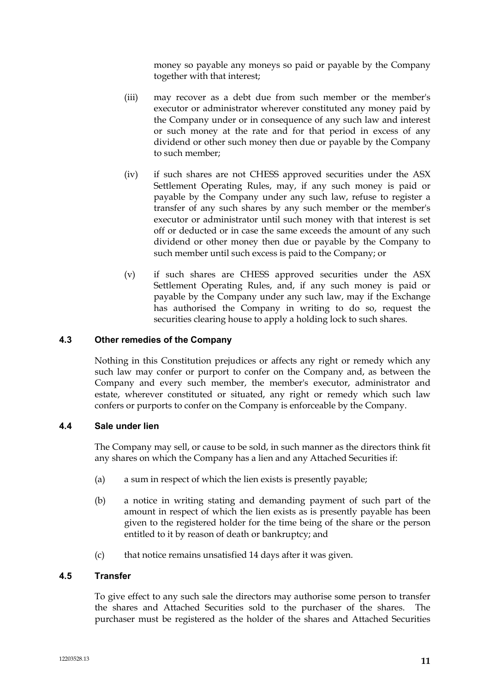money so payable any moneys so paid or payable by the Company together with that interest;

- (iii) may recover as a debt due from such member or the member's executor or administrator wherever constituted any money paid by the Company under or in consequence of any such law and interest or such money at the rate and for that period in excess of any dividend or other such money then due or payable by the Company to such member;
- (iv) if such shares are not CHESS approved securities under the ASX Settlement Operating Rules, may, if any such money is paid or payable by the Company under any such law, refuse to register a transfer of any such shares by any such member or the member's executor or administrator until such money with that interest is set off or deducted or in case the same exceeds the amount of any such dividend or other money then due or payable by the Company to such member until such excess is paid to the Company; or
- (v) if such shares are CHESS approved securities under the ASX Settlement Operating Rules, and, if any such money is paid or payable by the Company under any such law, may if the Exchange has authorised the Company in writing to do so, request the securities clearing house to apply a holding lock to such shares.

# **4.3 Other remedies of the Company**

Nothing in this Constitution prejudices or affects any right or remedy which any such law may confer or purport to confer on the Company and, as between the Company and every such member, the member's executor, administrator and estate, wherever constituted or situated, any right or remedy which such law confers or purports to confer on the Company is enforceable by the Company.

#### **4.4 Sale under lien**

The Company may sell, or cause to be sold, in such manner as the directors think fit any shares on which the Company has a lien and any Attached Securities if:

- (a) a sum in respect of which the lien exists is presently payable;
- (b) a notice in writing stating and demanding payment of such part of the amount in respect of which the lien exists as is presently payable has been given to the registered holder for the time being of the share or the person entitled to it by reason of death or bankruptcy; and
- (c) that notice remains unsatisfied 14 days after it was given.

#### **4.5 Transfer**

To give effect to any such sale the directors may authorise some person to transfer the shares and Attached Securities sold to the purchaser of the shares. The purchaser must be registered as the holder of the shares and Attached Securities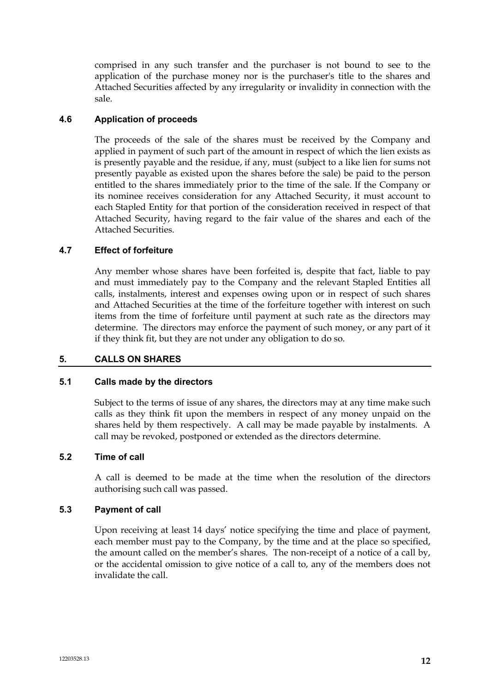comprised in any such transfer and the purchaser is not bound to see to the application of the purchase money nor is the purchaser's title to the shares and Attached Securities affected by any irregularity or invalidity in connection with the sale.

## **4.6 Application of proceeds**

The proceeds of the sale of the shares must be received by the Company and applied in payment of such part of the amount in respect of which the lien exists as is presently payable and the residue, if any, must (subject to a like lien for sums not presently payable as existed upon the shares before the sale) be paid to the person entitled to the shares immediately prior to the time of the sale. If the Company or its nominee receives consideration for any Attached Security, it must account to each Stapled Entity for that portion of the consideration received in respect of that Attached Security, having regard to the fair value of the shares and each of the Attached Securities.

## **4.7 Effect of forfeiture**

Any member whose shares have been forfeited is, despite that fact, liable to pay and must immediately pay to the Company and the relevant Stapled Entities all calls, instalments, interest and expenses owing upon or in respect of such shares and Attached Securities at the time of the forfeiture together with interest on such items from the time of forfeiture until payment at such rate as the directors may determine. The directors may enforce the payment of such money, or any part of it if they think fit, but they are not under any obligation to do so.

#### **5. CALLS ON SHARES**

#### **5.1 Calls made by the directors**

Subject to the terms of issue of any shares, the directors may at any time make such calls as they think fit upon the members in respect of any money unpaid on the shares held by them respectively. A call may be made payable by instalments. A call may be revoked, postponed or extended as the directors determine.

#### **5.2 Time of call**

A call is deemed to be made at the time when the resolution of the directors authorising such call was passed.

#### **5.3 Payment of call**

Upon receiving at least 14 days' notice specifying the time and place of payment, each member must pay to the Company, by the time and at the place so specified, the amount called on the member's shares. The non-receipt of a notice of a call by, or the accidental omission to give notice of a call to, any of the members does not invalidate the call.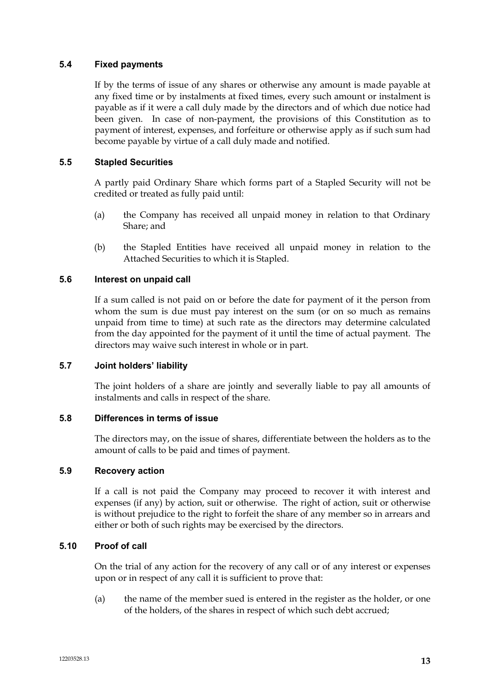## **5.4 Fixed payments**

If by the terms of issue of any shares or otherwise any amount is made payable at any fixed time or by instalments at fixed times, every such amount or instalment is payable as if it were a call duly made by the directors and of which due notice had been given. In case of non-payment, the provisions of this Constitution as to payment of interest, expenses, and forfeiture or otherwise apply as if such sum had become payable by virtue of a call duly made and notified.

# **5.5 Stapled Securities**

A partly paid Ordinary Share which forms part of a Stapled Security will not be credited or treated as fully paid until:

- (a) the Company has received all unpaid money in relation to that Ordinary Share; and
- (b) the Stapled Entities have received all unpaid money in relation to the Attached Securities to which it is Stapled.

# **5.6 Interest on unpaid call**

If a sum called is not paid on or before the date for payment of it the person from whom the sum is due must pay interest on the sum (or on so much as remains unpaid from time to time) at such rate as the directors may determine calculated from the day appointed for the payment of it until the time of actual payment. The directors may waive such interest in whole or in part.

## **5.7 Joint holders' liability**

The joint holders of a share are jointly and severally liable to pay all amounts of instalments and calls in respect of the share.

## **5.8 Differences in terms of issue**

The directors may, on the issue of shares, differentiate between the holders as to the amount of calls to be paid and times of payment.

## **5.9 Recovery action**

If a call is not paid the Company may proceed to recover it with interest and expenses (if any) by action, suit or otherwise. The right of action, suit or otherwise is without prejudice to the right to forfeit the share of any member so in arrears and either or both of such rights may be exercised by the directors.

# **5.10 Proof of call**

On the trial of any action for the recovery of any call or of any interest or expenses upon or in respect of any call it is sufficient to prove that:

(a) the name of the member sued is entered in the register as the holder, or one of the holders, of the shares in respect of which such debt accrued;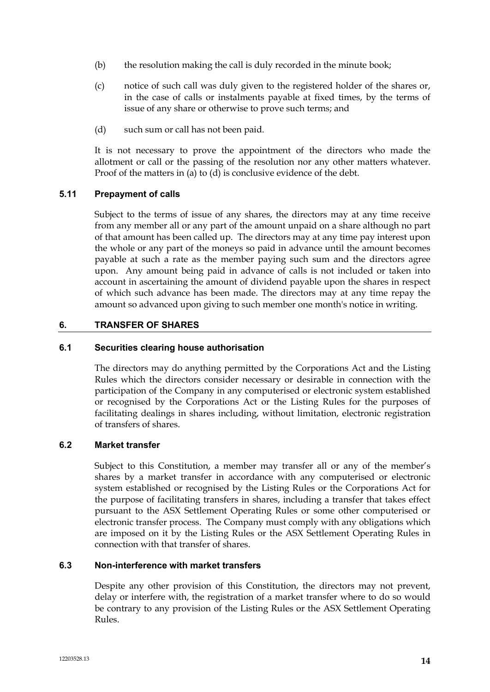- (b) the resolution making the call is duly recorded in the minute book;
- (c) notice of such call was duly given to the registered holder of the shares or, in the case of calls or instalments payable at fixed times, by the terms of issue of any share or otherwise to prove such terms; and
- (d) such sum or call has not been paid.

It is not necessary to prove the appointment of the directors who made the allotment or call or the passing of the resolution nor any other matters whatever. Proof of the matters in (a) to (d) is conclusive evidence of the debt.

# **5.11 Prepayment of calls**

Subject to the terms of issue of any shares, the directors may at any time receive from any member all or any part of the amount unpaid on a share although no part of that amount has been called up. The directors may at any time pay interest upon the whole or any part of the moneys so paid in advance until the amount becomes payable at such a rate as the member paying such sum and the directors agree upon. Any amount being paid in advance of calls is not included or taken into account in ascertaining the amount of dividend payable upon the shares in respect of which such advance has been made. The directors may at any time repay the amount so advanced upon giving to such member one month's notice in writing.

# **6. TRANSFER OF SHARES**

## **6.1 Securities clearing house authorisation**

The directors may do anything permitted by the Corporations Act and the Listing Rules which the directors consider necessary or desirable in connection with the participation of the Company in any computerised or electronic system established or recognised by the Corporations Act or the Listing Rules for the purposes of facilitating dealings in shares including, without limitation, electronic registration of transfers of shares.

## **6.2 Market transfer**

Subject to this Constitution, a member may transfer all or any of the member's shares by a market transfer in accordance with any computerised or electronic system established or recognised by the Listing Rules or the Corporations Act for the purpose of facilitating transfers in shares, including a transfer that takes effect pursuant to the ASX Settlement Operating Rules or some other computerised or electronic transfer process. The Company must comply with any obligations which are imposed on it by the Listing Rules or the ASX Settlement Operating Rules in connection with that transfer of shares.

## **6.3 Non-interference with market transfers**

Despite any other provision of this Constitution, the directors may not prevent, delay or interfere with, the registration of a market transfer where to do so would be contrary to any provision of the Listing Rules or the ASX Settlement Operating Rules.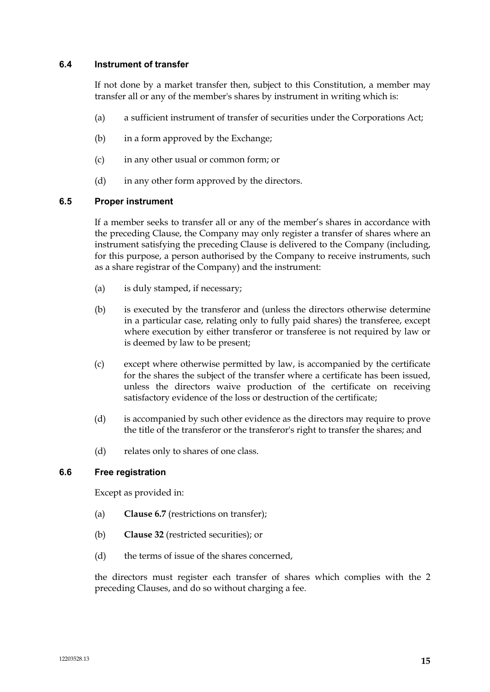#### **6.4 Instrument of transfer**

If not done by a market transfer then, subject to this Constitution, a member may transfer all or any of the member's shares by instrument in writing which is:

- (a) a sufficient instrument of transfer of securities under the Corporations Act;
- (b) in a form approved by the Exchange;
- (c) in any other usual or common form; or
- (d) in any other form approved by the directors.

#### **6.5 Proper instrument**

If a member seeks to transfer all or any of the member's shares in accordance with the preceding Clause, the Company may only register a transfer of shares where an instrument satisfying the preceding Clause is delivered to the Company (including, for this purpose, a person authorised by the Company to receive instruments, such as a share registrar of the Company) and the instrument:

- (a) is duly stamped, if necessary;
- (b) is executed by the transferor and (unless the directors otherwise determine in a particular case, relating only to fully paid shares) the transferee, except where execution by either transferor or transferee is not required by law or is deemed by law to be present;
- (c) except where otherwise permitted by law, is accompanied by the certificate for the shares the subject of the transfer where a certificate has been issued, unless the directors waive production of the certificate on receiving satisfactory evidence of the loss or destruction of the certificate;
- (d) is accompanied by such other evidence as the directors may require to prove the title of the transferor or the transferor's right to transfer the shares; and
- (d) relates only to shares of one class.

## **6.6 Free registration**

Except as provided in:

- (a) **Clause 6.7** (restrictions on transfer);
- (b) **Clause 32** (restricted securities); or
- (d) the terms of issue of the shares concerned,

the directors must register each transfer of shares which complies with the 2 preceding Clauses, and do so without charging a fee.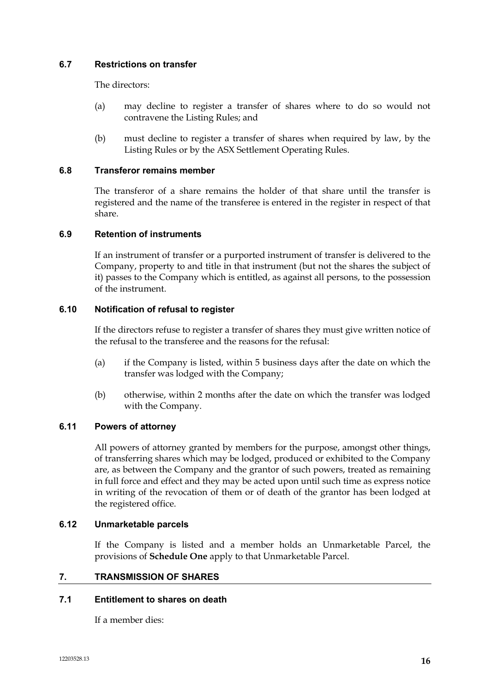# **6.7 Restrictions on transfer**

The directors:

- (a) may decline to register a transfer of shares where to do so would not contravene the Listing Rules; and
- (b) must decline to register a transfer of shares when required by law, by the Listing Rules or by the ASX Settlement Operating Rules.

# **6.8 Transferor remains member**

The transferor of a share remains the holder of that share until the transfer is registered and the name of the transferee is entered in the register in respect of that share.

## **6.9 Retention of instruments**

If an instrument of transfer or a purported instrument of transfer is delivered to the Company, property to and title in that instrument (but not the shares the subject of it) passes to the Company which is entitled, as against all persons, to the possession of the instrument.

# **6.10 Notification of refusal to register**

If the directors refuse to register a transfer of shares they must give written notice of the refusal to the transferee and the reasons for the refusal:

- (a) if the Company is listed, within 5 business days after the date on which the transfer was lodged with the Company;
- (b) otherwise, within 2 months after the date on which the transfer was lodged with the Company.

## **6.11 Powers of attorney**

All powers of attorney granted by members for the purpose, amongst other things, of transferring shares which may be lodged, produced or exhibited to the Company are, as between the Company and the grantor of such powers, treated as remaining in full force and effect and they may be acted upon until such time as express notice in writing of the revocation of them or of death of the grantor has been lodged at the registered office.

## **6.12 Unmarketable parcels**

If the Company is listed and a member holds an Unmarketable Parcel, the provisions of **Schedule One** apply to that Unmarketable Parcel.

## **7. TRANSMISSION OF SHARES**

## **7.1 Entitlement to shares on death**

If a member dies: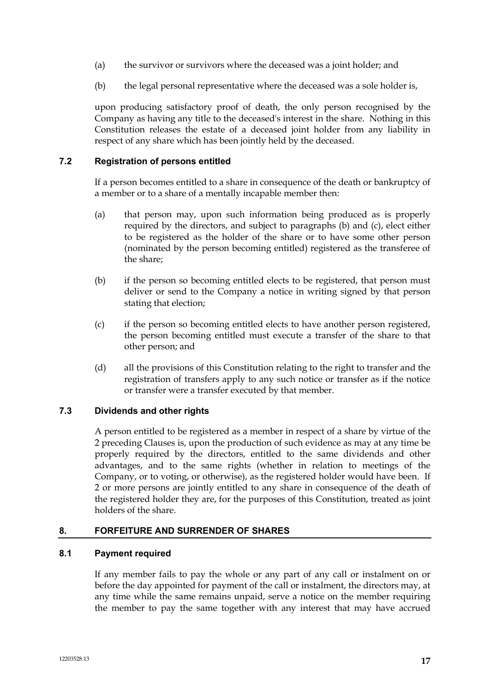- (a) the survivor or survivors where the deceased was a joint holder; and
- (b) the legal personal representative where the deceased was a sole holder is,

upon producing satisfactory proof of death, the only person recognised by the Company as having any title to the deceased's interest in the share. Nothing in this Constitution releases the estate of a deceased joint holder from any liability in respect of any share which has been jointly held by the deceased.

#### **7.2 Registration of persons entitled**

If a person becomes entitled to a share in consequence of the death or bankruptcy of a member or to a share of a mentally incapable member then:

- (a) that person may, upon such information being produced as is properly required by the directors, and subject to paragraphs (b) and (c), elect either to be registered as the holder of the share or to have some other person (nominated by the person becoming entitled) registered as the transferee of the share;
- (b) if the person so becoming entitled elects to be registered, that person must deliver or send to the Company a notice in writing signed by that person stating that election;
- (c) if the person so becoming entitled elects to have another person registered, the person becoming entitled must execute a transfer of the share to that other person; and
- (d) all the provisions of this Constitution relating to the right to transfer and the registration of transfers apply to any such notice or transfer as if the notice or transfer were a transfer executed by that member.

## **7.3 Dividends and other rights**

A person entitled to be registered as a member in respect of a share by virtue of the 2 preceding Clauses is, upon the production of such evidence as may at any time be properly required by the directors, entitled to the same dividends and other advantages, and to the same rights (whether in relation to meetings of the Company, or to voting, or otherwise), as the registered holder would have been. If 2 or more persons are jointly entitled to any share in consequence of the death of the registered holder they are, for the purposes of this Constitution, treated as joint holders of the share.

#### **8. FORFEITURE AND SURRENDER OF SHARES**

## **8.1 Payment required**

If any member fails to pay the whole or any part of any call or instalment on or before the day appointed for payment of the call or instalment, the directors may, at any time while the same remains unpaid, serve a notice on the member requiring the member to pay the same together with any interest that may have accrued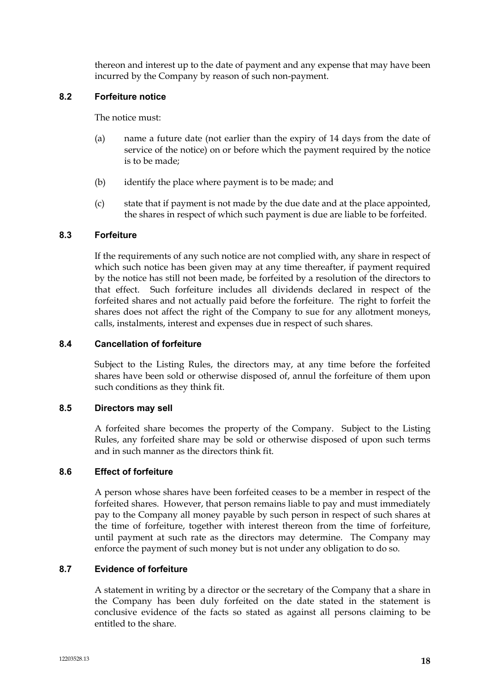thereon and interest up to the date of payment and any expense that may have been incurred by the Company by reason of such non-payment.

## **8.2 Forfeiture notice**

The notice must:

- (a) name a future date (not earlier than the expiry of 14 days from the date of service of the notice) on or before which the payment required by the notice is to be made;
- (b) identify the place where payment is to be made; and
- (c) state that if payment is not made by the due date and at the place appointed, the shares in respect of which such payment is due are liable to be forfeited.

# **8.3 Forfeiture**

If the requirements of any such notice are not complied with, any share in respect of which such notice has been given may at any time thereafter, if payment required by the notice has still not been made, be forfeited by a resolution of the directors to that effect. Such forfeiture includes all dividends declared in respect of the forfeited shares and not actually paid before the forfeiture. The right to forfeit the shares does not affect the right of the Company to sue for any allotment moneys, calls, instalments, interest and expenses due in respect of such shares.

# **8.4 Cancellation of forfeiture**

Subject to the Listing Rules, the directors may, at any time before the forfeited shares have been sold or otherwise disposed of, annul the forfeiture of them upon such conditions as they think fit.

## **8.5 Directors may sell**

A forfeited share becomes the property of the Company. Subject to the Listing Rules, any forfeited share may be sold or otherwise disposed of upon such terms and in such manner as the directors think fit.

## **8.6 Effect of forfeiture**

A person whose shares have been forfeited ceases to be a member in respect of the forfeited shares. However, that person remains liable to pay and must immediately pay to the Company all money payable by such person in respect of such shares at the time of forfeiture, together with interest thereon from the time of forfeiture, until payment at such rate as the directors may determine. The Company may enforce the payment of such money but is not under any obligation to do so.

## **8.7 Evidence of forfeiture**

A statement in writing by a director or the secretary of the Company that a share in the Company has been duly forfeited on the date stated in the statement is conclusive evidence of the facts so stated as against all persons claiming to be entitled to the share.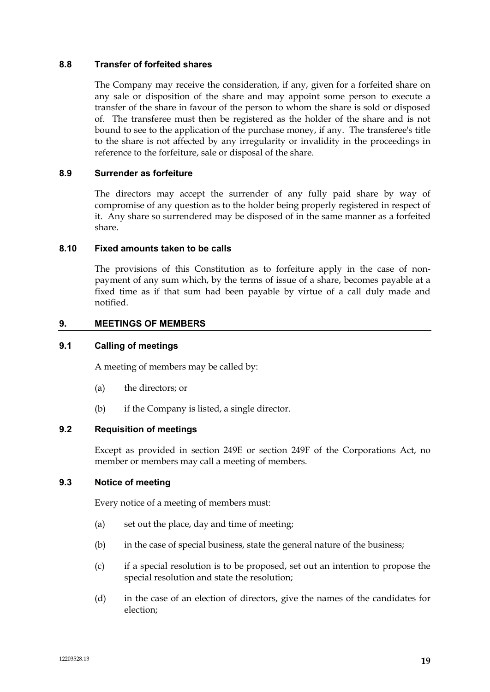#### **8.8 Transfer of forfeited shares**

The Company may receive the consideration, if any, given for a forfeited share on any sale or disposition of the share and may appoint some person to execute a transfer of the share in favour of the person to whom the share is sold or disposed of. The transferee must then be registered as the holder of the share and is not bound to see to the application of the purchase money, if any. The transferee's title to the share is not affected by any irregularity or invalidity in the proceedings in reference to the forfeiture, sale or disposal of the share.

#### **8.9 Surrender as forfeiture**

The directors may accept the surrender of any fully paid share by way of compromise of any question as to the holder being properly registered in respect of it. Any share so surrendered may be disposed of in the same manner as a forfeited share.

#### **8.10 Fixed amounts taken to be calls**

The provisions of this Constitution as to forfeiture apply in the case of nonpayment of any sum which, by the terms of issue of a share, becomes payable at a fixed time as if that sum had been payable by virtue of a call duly made and notified.

#### **9. MEETINGS OF MEMBERS**

#### **9.1 Calling of meetings**

A meeting of members may be called by:

- (a) the directors; or
- (b) if the Company is listed, a single director.

#### **9.2 Requisition of meetings**

Except as provided in section 249E or section 249F of the Corporations Act, no member or members may call a meeting of members.

## **9.3 Notice of meeting**

Every notice of a meeting of members must:

- (a) set out the place, day and time of meeting;
- (b) in the case of special business, state the general nature of the business;
- (c) if a special resolution is to be proposed, set out an intention to propose the special resolution and state the resolution;
- (d) in the case of an election of directors, give the names of the candidates for election;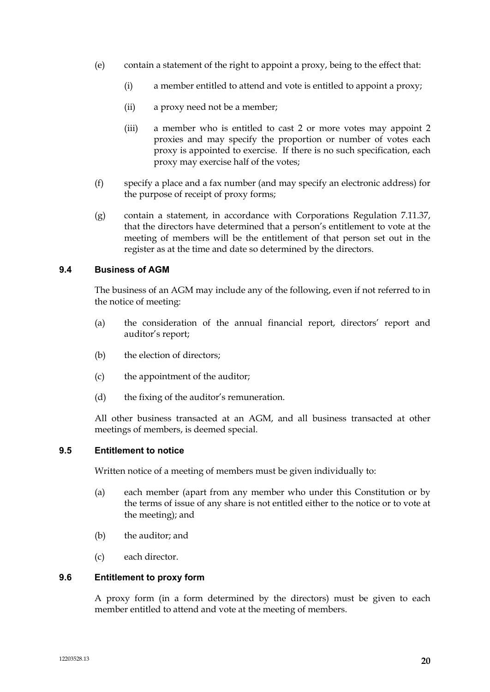- (e) contain a statement of the right to appoint a proxy, being to the effect that:
	- (i) a member entitled to attend and vote is entitled to appoint a proxy;
	- (ii) a proxy need not be a member;
	- (iii) a member who is entitled to cast 2 or more votes may appoint 2 proxies and may specify the proportion or number of votes each proxy is appointed to exercise. If there is no such specification, each proxy may exercise half of the votes;
- (f) specify a place and a fax number (and may specify an electronic address) for the purpose of receipt of proxy forms;
- (g) contain a statement, in accordance with Corporations Regulation 7.11.37, that the directors have determined that a person's entitlement to vote at the meeting of members will be the entitlement of that person set out in the register as at the time and date so determined by the directors.

#### **9.4 Business of AGM**

The business of an AGM may include any of the following, even if not referred to in the notice of meeting:

- (a) the consideration of the annual financial report, directors' report and auditor's report;
- (b) the election of directors;
- (c) the appointment of the auditor;
- (d) the fixing of the auditor's remuneration.

All other business transacted at an AGM, and all business transacted at other meetings of members, is deemed special.

#### **9.5 Entitlement to notice**

Written notice of a meeting of members must be given individually to:

- (a) each member (apart from any member who under this Constitution or by the terms of issue of any share is not entitled either to the notice or to vote at the meeting); and
- (b) the auditor; and
- (c) each director.

#### **9.6 Entitlement to proxy form**

A proxy form (in a form determined by the directors) must be given to each member entitled to attend and vote at the meeting of members.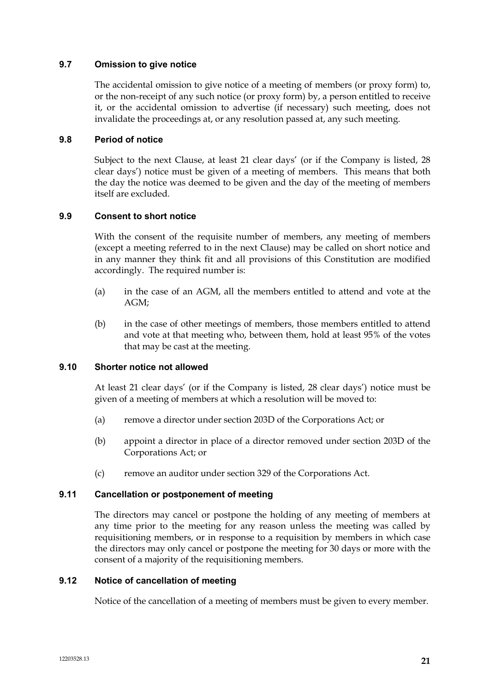#### **9.7 Omission to give notice**

The accidental omission to give notice of a meeting of members (or proxy form) to, or the non-receipt of any such notice (or proxy form) by, a person entitled to receive it, or the accidental omission to advertise (if necessary) such meeting, does not invalidate the proceedings at, or any resolution passed at, any such meeting.

#### **9.8 Period of notice**

Subject to the next Clause, at least 21 clear days' (or if the Company is listed, 28 clear days') notice must be given of a meeting of members. This means that both the day the notice was deemed to be given and the day of the meeting of members itself are excluded.

#### **9.9 Consent to short notice**

With the consent of the requisite number of members, any meeting of members (except a meeting referred to in the next Clause) may be called on short notice and in any manner they think fit and all provisions of this Constitution are modified accordingly. The required number is:

- (a) in the case of an AGM, all the members entitled to attend and vote at the AGM;
- (b) in the case of other meetings of members, those members entitled to attend and vote at that meeting who, between them, hold at least 95% of the votes that may be cast at the meeting.

#### **9.10 Shorter notice not allowed**

At least 21 clear days' (or if the Company is listed, 28 clear days') notice must be given of a meeting of members at which a resolution will be moved to:

- (a) remove a director under section 203D of the Corporations Act; or
- (b) appoint a director in place of a director removed under section 203D of the Corporations Act; or
- (c) remove an auditor under section 329 of the Corporations Act.

## **9.11 Cancellation or postponement of meeting**

The directors may cancel or postpone the holding of any meeting of members at any time prior to the meeting for any reason unless the meeting was called by requisitioning members, or in response to a requisition by members in which case the directors may only cancel or postpone the meeting for 30 days or more with the consent of a majority of the requisitioning members.

# **9.12 Notice of cancellation of meeting**

Notice of the cancellation of a meeting of members must be given to every member.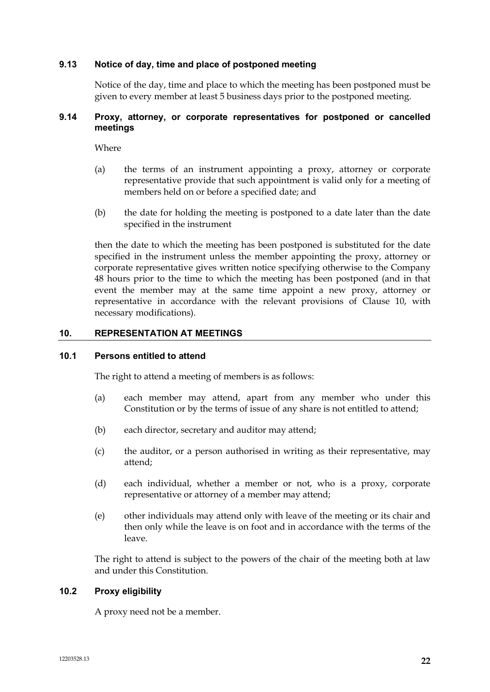#### **9.13 Notice of day, time and place of postponed meeting**

Notice of the day, time and place to which the meeting has been postponed must be given to every member at least 5 business days prior to the postponed meeting.

## **9.14 Proxy, attorney, or corporate representatives for postponed or cancelled meetings**

Where

- (a) the terms of an instrument appointing a proxy, attorney or corporate representative provide that such appointment is valid only for a meeting of members held on or before a specified date; and
- (b) the date for holding the meeting is postponed to a date later than the date specified in the instrument

then the date to which the meeting has been postponed is substituted for the date specified in the instrument unless the member appointing the proxy, attorney or corporate representative gives written notice specifying otherwise to the Company 48 hours prior to the time to which the meeting has been postponed (and in that event the member may at the same time appoint a new proxy, attorney or representative in accordance with the relevant provisions of Clause 10, with necessary modifications).

#### **10. REPRESENTATION AT MEETINGS**

#### **10.1 Persons entitled to attend**

The right to attend a meeting of members is as follows:

- (a) each member may attend, apart from any member who under this Constitution or by the terms of issue of any share is not entitled to attend;
- (b) each director, secretary and auditor may attend;
- (c) the auditor, or a person authorised in writing as their representative, may attend;
- (d) each individual, whether a member or not, who is a proxy, corporate representative or attorney of a member may attend;
- (e) other individuals may attend only with leave of the meeting or its chair and then only while the leave is on foot and in accordance with the terms of the leave.

The right to attend is subject to the powers of the chair of the meeting both at law and under this Constitution.

#### **10.2 Proxy eligibility**

A proxy need not be a member.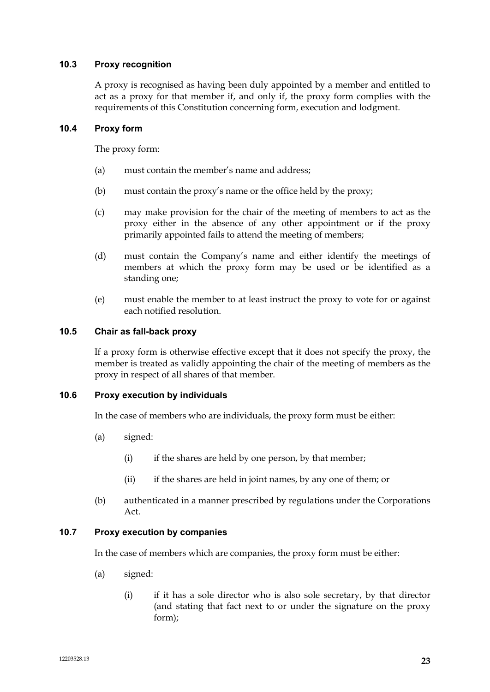## **10.3 Proxy recognition**

A proxy is recognised as having been duly appointed by a member and entitled to act as a proxy for that member if, and only if, the proxy form complies with the requirements of this Constitution concerning form, execution and lodgment.

#### **10.4 Proxy form**

The proxy form:

- (a) must contain the member's name and address;
- (b) must contain the proxy's name or the office held by the proxy;
- (c) may make provision for the chair of the meeting of members to act as the proxy either in the absence of any other appointment or if the proxy primarily appointed fails to attend the meeting of members;
- (d) must contain the Company's name and either identify the meetings of members at which the proxy form may be used or be identified as a standing one;
- (e) must enable the member to at least instruct the proxy to vote for or against each notified resolution.

## **10.5 Chair as fall-back proxy**

If a proxy form is otherwise effective except that it does not specify the proxy, the member is treated as validly appointing the chair of the meeting of members as the proxy in respect of all shares of that member.

#### **10.6 Proxy execution by individuals**

In the case of members who are individuals, the proxy form must be either:

- (a) signed:
	- (i) if the shares are held by one person, by that member;
	- (ii) if the shares are held in joint names, by any one of them; or
- (b) authenticated in a manner prescribed by regulations under the Corporations Act.

## **10.7 Proxy execution by companies**

In the case of members which are companies, the proxy form must be either:

- (a) signed:
	- (i) if it has a sole director who is also sole secretary, by that director (and stating that fact next to or under the signature on the proxy form);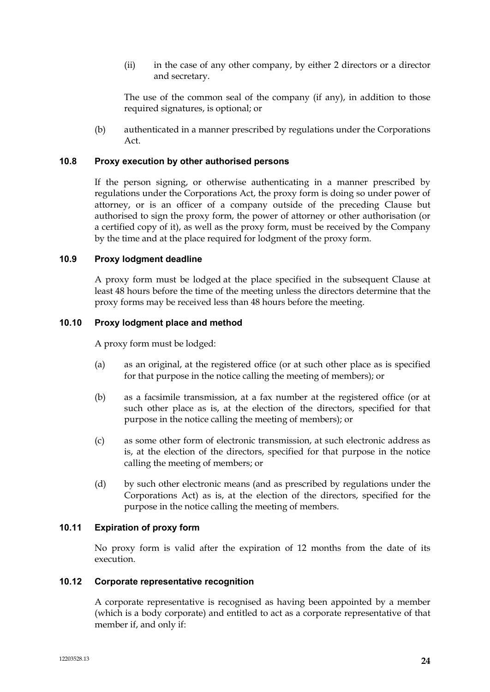(ii) in the case of any other company, by either 2 directors or a director and secretary.

The use of the common seal of the company (if any), in addition to those required signatures, is optional; or

(b) authenticated in a manner prescribed by regulations under the Corporations Act.

#### **10.8 Proxy execution by other authorised persons**

If the person signing, or otherwise authenticating in a manner prescribed by regulations under the Corporations Act, the proxy form is doing so under power of attorney, or is an officer of a company outside of the preceding Clause but authorised to sign the proxy form, the power of attorney or other authorisation (or a certified copy of it), as well as the proxy form, must be received by the Company by the time and at the place required for lodgment of the proxy form.

#### **10.9 Proxy lodgment deadline**

A proxy form must be lodged at the place specified in the subsequent Clause at least 48 hours before the time of the meeting unless the directors determine that the proxy forms may be received less than 48 hours before the meeting.

#### **10.10 Proxy lodgment place and method**

A proxy form must be lodged:

- (a) as an original, at the registered office (or at such other place as is specified for that purpose in the notice calling the meeting of members); or
- (b) as a facsimile transmission, at a fax number at the registered office (or at such other place as is, at the election of the directors, specified for that purpose in the notice calling the meeting of members); or
- (c) as some other form of electronic transmission, at such electronic address as is, at the election of the directors, specified for that purpose in the notice calling the meeting of members; or
- (d) by such other electronic means (and as prescribed by regulations under the Corporations Act) as is, at the election of the directors, specified for the purpose in the notice calling the meeting of members.

#### **10.11 Expiration of proxy form**

No proxy form is valid after the expiration of 12 months from the date of its execution.

#### **10.12 Corporate representative recognition**

A corporate representative is recognised as having been appointed by a member (which is a body corporate) and entitled to act as a corporate representative of that member if, and only if: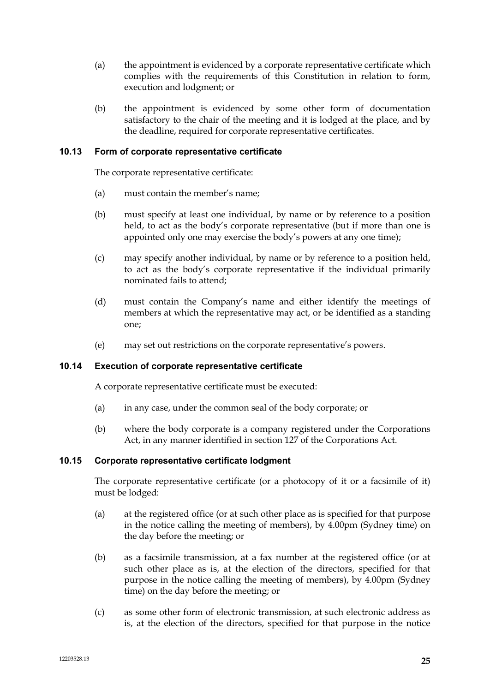- (a) the appointment is evidenced by a corporate representative certificate which complies with the requirements of this Constitution in relation to form, execution and lodgment; or
- (b) the appointment is evidenced by some other form of documentation satisfactory to the chair of the meeting and it is lodged at the place, and by the deadline, required for corporate representative certificates.

#### **10.13 Form of corporate representative certificate**

The corporate representative certificate:

- (a) must contain the member's name;
- (b) must specify at least one individual, by name or by reference to a position held, to act as the body's corporate representative (but if more than one is appointed only one may exercise the body's powers at any one time);
- (c) may specify another individual, by name or by reference to a position held, to act as the body's corporate representative if the individual primarily nominated fails to attend;
- (d) must contain the Company's name and either identify the meetings of members at which the representative may act, or be identified as a standing one;
- (e) may set out restrictions on the corporate representative's powers.

## **10.14 Execution of corporate representative certificate**

A corporate representative certificate must be executed:

- (a) in any case, under the common seal of the body corporate; or
- (b) where the body corporate is a company registered under the Corporations Act, in any manner identified in section 127 of the Corporations Act.

## **10.15 Corporate representative certificate lodgment**

The corporate representative certificate (or a photocopy of it or a facsimile of it) must be lodged:

- (a) at the registered office (or at such other place as is specified for that purpose in the notice calling the meeting of members), by 4.00pm (Sydney time) on the day before the meeting; or
- (b) as a facsimile transmission, at a fax number at the registered office (or at such other place as is, at the election of the directors, specified for that purpose in the notice calling the meeting of members), by 4.00pm (Sydney time) on the day before the meeting; or
- (c) as some other form of electronic transmission, at such electronic address as is, at the election of the directors, specified for that purpose in the notice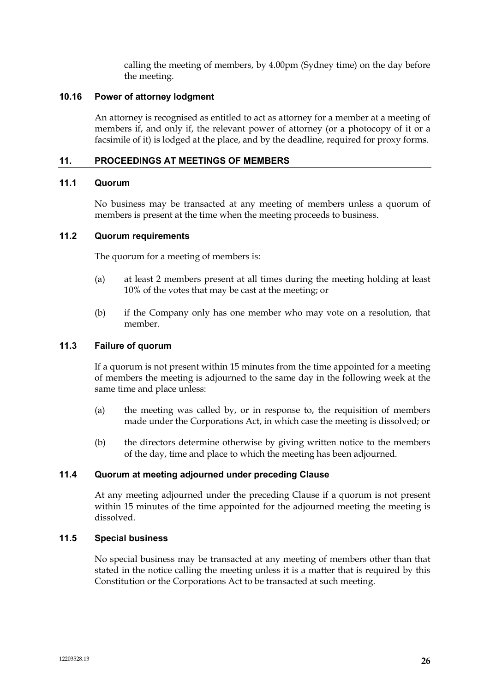calling the meeting of members, by 4.00pm (Sydney time) on the day before the meeting.

#### **10.16 Power of attorney lodgment**

An attorney is recognised as entitled to act as attorney for a member at a meeting of members if, and only if, the relevant power of attorney (or a photocopy of it or a facsimile of it) is lodged at the place, and by the deadline, required for proxy forms.

## **11. PROCEEDINGS AT MEETINGS OF MEMBERS**

#### **11.1 Quorum**

No business may be transacted at any meeting of members unless a quorum of members is present at the time when the meeting proceeds to business.

#### **11.2 Quorum requirements**

The quorum for a meeting of members is:

- (a) at least 2 members present at all times during the meeting holding at least 10% of the votes that may be cast at the meeting; or
- (b) if the Company only has one member who may vote on a resolution, that member.

# **11.3 Failure of quorum**

If a quorum is not present within 15 minutes from the time appointed for a meeting of members the meeting is adjourned to the same day in the following week at the same time and place unless:

- (a) the meeting was called by, or in response to, the requisition of members made under the Corporations Act, in which case the meeting is dissolved; or
- (b) the directors determine otherwise by giving written notice to the members of the day, time and place to which the meeting has been adjourned.

## **11.4 Quorum at meeting adjourned under preceding Clause**

At any meeting adjourned under the preceding Clause if a quorum is not present within 15 minutes of the time appointed for the adjourned meeting the meeting is dissolved.

#### **11.5 Special business**

No special business may be transacted at any meeting of members other than that stated in the notice calling the meeting unless it is a matter that is required by this Constitution or the Corporations Act to be transacted at such meeting.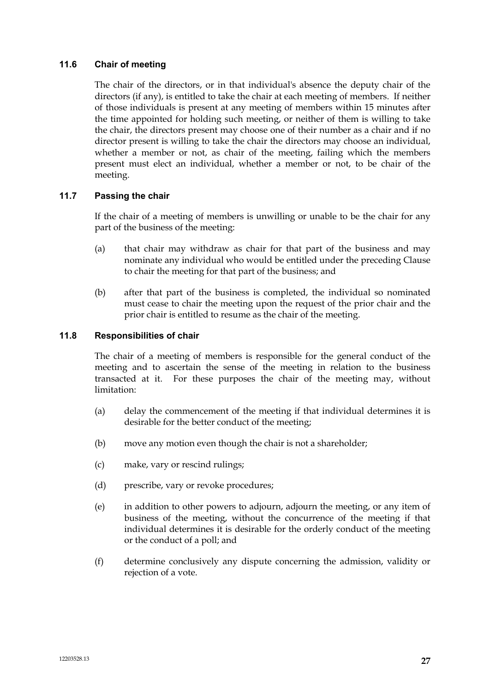## **11.6 Chair of meeting**

The chair of the directors, or in that individual's absence the deputy chair of the directors (if any), is entitled to take the chair at each meeting of members. If neither of those individuals is present at any meeting of members within 15 minutes after the time appointed for holding such meeting, or neither of them is willing to take the chair, the directors present may choose one of their number as a chair and if no director present is willing to take the chair the directors may choose an individual, whether a member or not, as chair of the meeting, failing which the members present must elect an individual, whether a member or not, to be chair of the meeting.

#### **11.7 Passing the chair**

If the chair of a meeting of members is unwilling or unable to be the chair for any part of the business of the meeting:

- (a) that chair may withdraw as chair for that part of the business and may nominate any individual who would be entitled under the preceding Clause to chair the meeting for that part of the business; and
- (b) after that part of the business is completed, the individual so nominated must cease to chair the meeting upon the request of the prior chair and the prior chair is entitled to resume as the chair of the meeting.

#### **11.8 Responsibilities of chair**

The chair of a meeting of members is responsible for the general conduct of the meeting and to ascertain the sense of the meeting in relation to the business transacted at it. For these purposes the chair of the meeting may, without limitation:

- (a) delay the commencement of the meeting if that individual determines it is desirable for the better conduct of the meeting;
- (b) move any motion even though the chair is not a shareholder;
- (c) make, vary or rescind rulings;
- (d) prescribe, vary or revoke procedures;
- (e) in addition to other powers to adjourn, adjourn the meeting, or any item of business of the meeting, without the concurrence of the meeting if that individual determines it is desirable for the orderly conduct of the meeting or the conduct of a poll; and
- (f) determine conclusively any dispute concerning the admission, validity or rejection of a vote.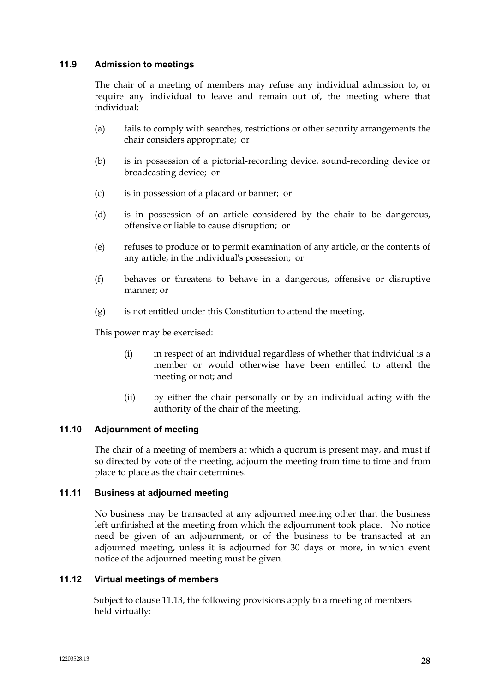## **11.9 Admission to meetings**

The chair of a meeting of members may refuse any individual admission to, or require any individual to leave and remain out of, the meeting where that individual:

- (a) fails to comply with searches, restrictions or other security arrangements the chair considers appropriate; or
- (b) is in possession of a pictorial-recording device, sound-recording device or broadcasting device; or
- (c) is in possession of a placard or banner; or
- (d) is in possession of an article considered by the chair to be dangerous, offensive or liable to cause disruption; or
- (e) refuses to produce or to permit examination of any article, or the contents of any article, in the individual's possession; or
- (f) behaves or threatens to behave in a dangerous, offensive or disruptive manner; or
- (g) is not entitled under this Constitution to attend the meeting.

This power may be exercised:

- (i) in respect of an individual regardless of whether that individual is a member or would otherwise have been entitled to attend the meeting or not; and
- (ii) by either the chair personally or by an individual acting with the authority of the chair of the meeting.

## **11.10 Adjournment of meeting**

The chair of a meeting of members at which a quorum is present may, and must if so directed by vote of the meeting, adjourn the meeting from time to time and from place to place as the chair determines.

#### **11.11 Business at adjourned meeting**

No business may be transacted at any adjourned meeting other than the business left unfinished at the meeting from which the adjournment took place. No notice need be given of an adjournment, or of the business to be transacted at an adjourned meeting, unless it is adjourned for 30 days or more, in which event notice of the adjourned meeting must be given.

#### **11.12 Virtual meetings of members**

Subject to clause 11.13, the following provisions apply to a meeting of members held virtually: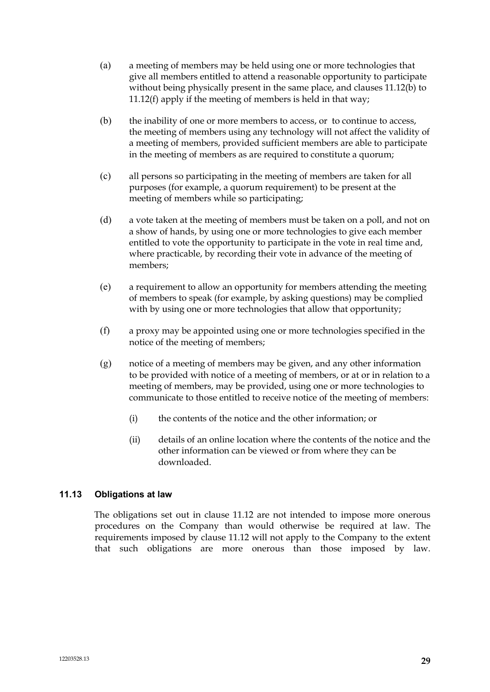- (a) a meeting of members may be held using one or more technologies that give all members entitled to attend a reasonable opportunity to participate without being physically present in the same place, and clauses 11.12(b) to 11.12(f) apply if the meeting of members is held in that way;
- (b) the inability of one or more members to access, or to continue to access, the meeting of members using any technology will not affect the validity of a meeting of members, provided sufficient members are able to participate in the meeting of members as are required to constitute a quorum;
- (c) all persons so participating in the meeting of members are taken for all purposes (for example, a quorum requirement) to be present at the meeting of members while so participating;
- (d) a vote taken at the meeting of members must be taken on a poll, and not on a show of hands, by using one or more technologies to give each member entitled to vote the opportunity to participate in the vote in real time and, where practicable, by recording their vote in advance of the meeting of members;
- (e) a requirement to allow an opportunity for members attending the meeting of members to speak (for example, by asking questions) may be complied with by using one or more technologies that allow that opportunity;
- (f) a proxy may be appointed using one or more technologies specified in the notice of the meeting of members;
- (g) notice of a meeting of members may be given, and any other information to be provided with notice of a meeting of members, or at or in relation to a meeting of members, may be provided, using one or more technologies to communicate to those entitled to receive notice of the meeting of members:
	- (i) the contents of the notice and the other information; or
	- (ii) details of an online location where the contents of the notice and the other information can be viewed or from where they can be downloaded.

## **11.13 Obligations at law**

The obligations set out in clause 11.12 are not intended to impose more onerous procedures on the Company than would otherwise be required at law. The requirements imposed by clause 11.12 will not apply to the Company to the extent that such obligations are more onerous than those imposed by law.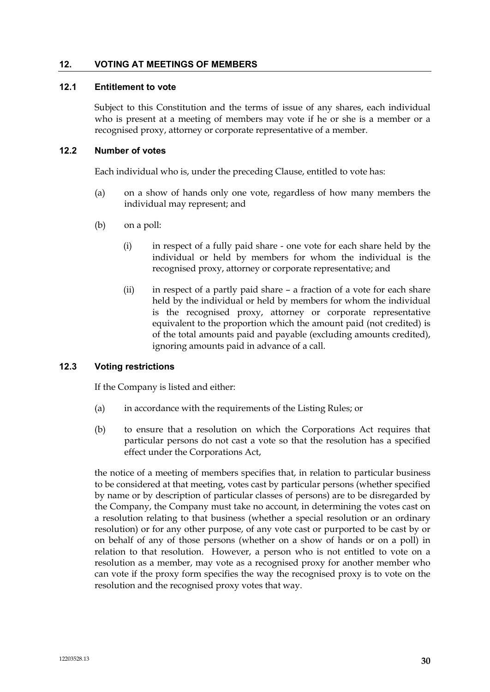#### **12. VOTING AT MEETINGS OF MEMBERS**

#### **12.1 Entitlement to vote**

Subject to this Constitution and the terms of issue of any shares, each individual who is present at a meeting of members may vote if he or she is a member or a recognised proxy, attorney or corporate representative of a member.

#### **12.2 Number of votes**

Each individual who is, under the preceding Clause, entitled to vote has:

- (a) on a show of hands only one vote, regardless of how many members the individual may represent; and
- (b) on a poll:
	- (i) in respect of a fully paid share one vote for each share held by the individual or held by members for whom the individual is the recognised proxy, attorney or corporate representative; and
	- (ii) in respect of a partly paid share a fraction of a vote for each share held by the individual or held by members for whom the individual is the recognised proxy, attorney or corporate representative equivalent to the proportion which the amount paid (not credited) is of the total amounts paid and payable (excluding amounts credited), ignoring amounts paid in advance of a call.

## **12.3 Voting restrictions**

If the Company is listed and either:

- (a) in accordance with the requirements of the Listing Rules; or
- (b) to ensure that a resolution on which the Corporations Act requires that particular persons do not cast a vote so that the resolution has a specified effect under the Corporations Act,

the notice of a meeting of members specifies that, in relation to particular business to be considered at that meeting, votes cast by particular persons (whether specified by name or by description of particular classes of persons) are to be disregarded by the Company, the Company must take no account, in determining the votes cast on a resolution relating to that business (whether a special resolution or an ordinary resolution) or for any other purpose, of any vote cast or purported to be cast by or on behalf of any of those persons (whether on a show of hands or on a poll) in relation to that resolution. However, a person who is not entitled to vote on a resolution as a member, may vote as a recognised proxy for another member who can vote if the proxy form specifies the way the recognised proxy is to vote on the resolution and the recognised proxy votes that way.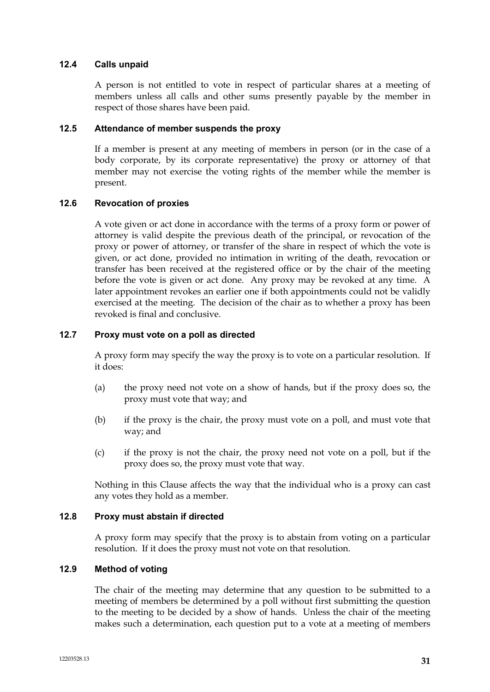#### **12.4 Calls unpaid**

A person is not entitled to vote in respect of particular shares at a meeting of members unless all calls and other sums presently payable by the member in respect of those shares have been paid.

#### **12.5 Attendance of member suspends the proxy**

If a member is present at any meeting of members in person (or in the case of a body corporate, by its corporate representative) the proxy or attorney of that member may not exercise the voting rights of the member while the member is present.

#### **12.6 Revocation of proxies**

A vote given or act done in accordance with the terms of a proxy form or power of attorney is valid despite the previous death of the principal, or revocation of the proxy or power of attorney, or transfer of the share in respect of which the vote is given, or act done, provided no intimation in writing of the death, revocation or transfer has been received at the registered office or by the chair of the meeting before the vote is given or act done. Any proxy may be revoked at any time. A later appointment revokes an earlier one if both appointments could not be validly exercised at the meeting. The decision of the chair as to whether a proxy has been revoked is final and conclusive.

#### **12.7 Proxy must vote on a poll as directed**

A proxy form may specify the way the proxy is to vote on a particular resolution. If it does:

- (a) the proxy need not vote on a show of hands, but if the proxy does so, the proxy must vote that way; and
- (b) if the proxy is the chair, the proxy must vote on a poll, and must vote that way; and
- (c) if the proxy is not the chair, the proxy need not vote on a poll, but if the proxy does so, the proxy must vote that way.

Nothing in this Clause affects the way that the individual who is a proxy can cast any votes they hold as a member.

#### **12.8 Proxy must abstain if directed**

A proxy form may specify that the proxy is to abstain from voting on a particular resolution. If it does the proxy must not vote on that resolution.

#### **12.9 Method of voting**

The chair of the meeting may determine that any question to be submitted to a meeting of members be determined by a poll without first submitting the question to the meeting to be decided by a show of hands. Unless the chair of the meeting makes such a determination, each question put to a vote at a meeting of members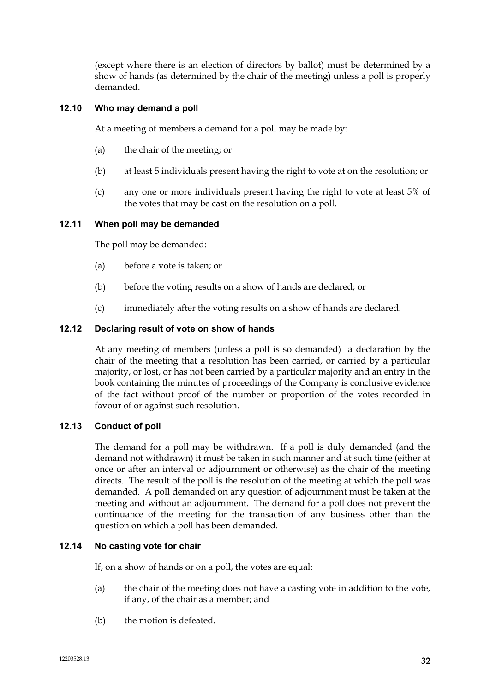(except where there is an election of directors by ballot) must be determined by a show of hands (as determined by the chair of the meeting) unless a poll is properly demanded.

## **12.10 Who may demand a poll**

At a meeting of members a demand for a poll may be made by:

- (a) the chair of the meeting; or
- (b) at least 5 individuals present having the right to vote at on the resolution; or
- (c) any one or more individuals present having the right to vote at least 5% of the votes that may be cast on the resolution on a poll.

# **12.11 When poll may be demanded**

The poll may be demanded:

- (a) before a vote is taken; or
- (b) before the voting results on a show of hands are declared; or
- (c) immediately after the voting results on a show of hands are declared.

# **12.12 Declaring result of vote on show of hands**

At any meeting of members (unless a poll is so demanded) a declaration by the chair of the meeting that a resolution has been carried, or carried by a particular majority, or lost, or has not been carried by a particular majority and an entry in the book containing the minutes of proceedings of the Company is conclusive evidence of the fact without proof of the number or proportion of the votes recorded in favour of or against such resolution.

# **12.13 Conduct of poll**

The demand for a poll may be withdrawn. If a poll is duly demanded (and the demand not withdrawn) it must be taken in such manner and at such time (either at once or after an interval or adjournment or otherwise) as the chair of the meeting directs. The result of the poll is the resolution of the meeting at which the poll was demanded. A poll demanded on any question of adjournment must be taken at the meeting and without an adjournment. The demand for a poll does not prevent the continuance of the meeting for the transaction of any business other than the question on which a poll has been demanded.

## **12.14 No casting vote for chair**

If, on a show of hands or on a poll, the votes are equal:

- (a) the chair of the meeting does not have a casting vote in addition to the vote, if any, of the chair as a member; and
- (b) the motion is defeated.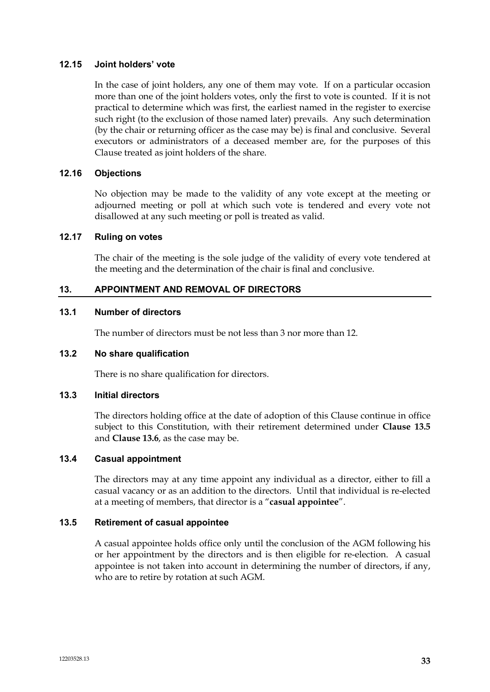#### **12.15 Joint holders' vote**

In the case of joint holders, any one of them may vote. If on a particular occasion more than one of the joint holders votes, only the first to vote is counted. If it is not practical to determine which was first, the earliest named in the register to exercise such right (to the exclusion of those named later) prevails. Any such determination (by the chair or returning officer as the case may be) is final and conclusive. Several executors or administrators of a deceased member are, for the purposes of this Clause treated as joint holders of the share.

## **12.16 Objections**

No objection may be made to the validity of any vote except at the meeting or adjourned meeting or poll at which such vote is tendered and every vote not disallowed at any such meeting or poll is treated as valid.

#### **12.17 Ruling on votes**

The chair of the meeting is the sole judge of the validity of every vote tendered at the meeting and the determination of the chair is final and conclusive.

## **13. APPOINTMENT AND REMOVAL OF DIRECTORS**

#### **13.1 Number of directors**

The number of directors must be not less than 3 nor more than 12.

#### **13.2 No share qualification**

There is no share qualification for directors.

#### **13.3 Initial directors**

The directors holding office at the date of adoption of this Clause continue in office subject to this Constitution, with their retirement determined under **Clause 13.5** and **Clause 13.6**, as the case may be.

#### **13.4 Casual appointment**

The directors may at any time appoint any individual as a director, either to fill a casual vacancy or as an addition to the directors. Until that individual is re-elected at a meeting of members, that director is a "**casual appointee**".

#### **13.5 Retirement of casual appointee**

A casual appointee holds office only until the conclusion of the AGM following his or her appointment by the directors and is then eligible for re-election. A casual appointee is not taken into account in determining the number of directors, if any, who are to retire by rotation at such AGM.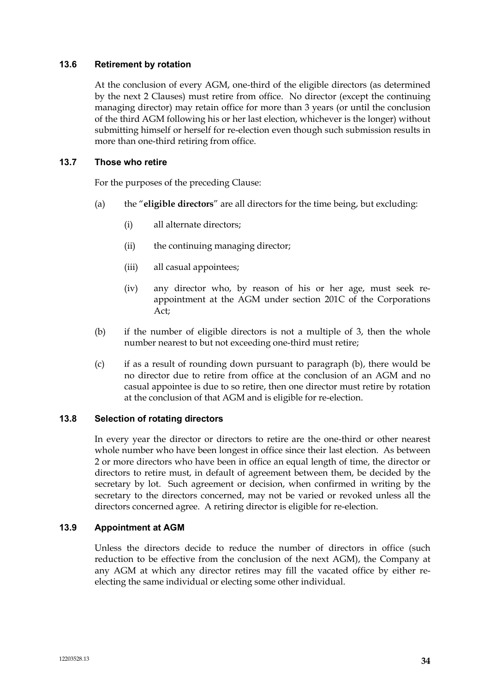#### **13.6 Retirement by rotation**

At the conclusion of every AGM, one-third of the eligible directors (as determined by the next 2 Clauses) must retire from office. No director (except the continuing managing director) may retain office for more than 3 years (or until the conclusion of the third AGM following his or her last election, whichever is the longer) without submitting himself or herself for re-election even though such submission results in more than one-third retiring from office.

#### **13.7 Those who retire**

For the purposes of the preceding Clause:

- (a) the "**eligible directors**" are all directors for the time being, but excluding:
	- (i) all alternate directors;
	- (ii) the continuing managing director;
	- (iii) all casual appointees;
	- (iv) any director who, by reason of his or her age, must seek reappointment at the AGM under section 201C of the Corporations Act;
- (b) if the number of eligible directors is not a multiple of 3, then the whole number nearest to but not exceeding one-third must retire;
- (c) if as a result of rounding down pursuant to paragraph (b), there would be no director due to retire from office at the conclusion of an AGM and no casual appointee is due to so retire, then one director must retire by rotation at the conclusion of that AGM and is eligible for re-election.

## **13.8 Selection of rotating directors**

In every year the director or directors to retire are the one-third or other nearest whole number who have been longest in office since their last election. As between 2 or more directors who have been in office an equal length of time, the director or directors to retire must, in default of agreement between them, be decided by the secretary by lot. Such agreement or decision, when confirmed in writing by the secretary to the directors concerned, may not be varied or revoked unless all the directors concerned agree. A retiring director is eligible for re-election.

## **13.9 Appointment at AGM**

Unless the directors decide to reduce the number of directors in office (such reduction to be effective from the conclusion of the next AGM), the Company at any AGM at which any director retires may fill the vacated office by either reelecting the same individual or electing some other individual.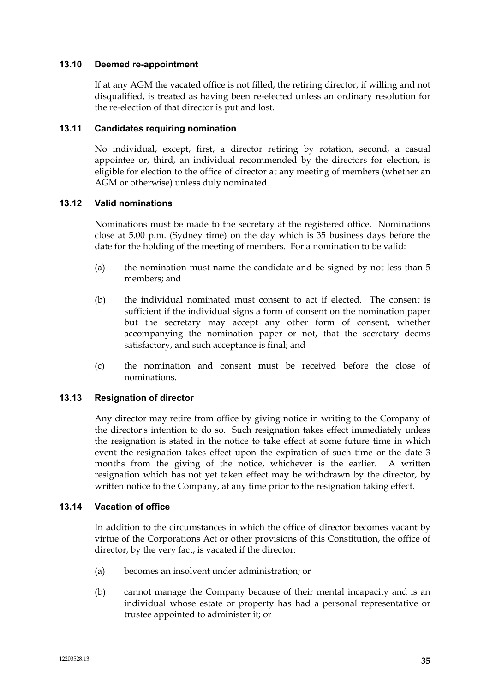#### **13.10 Deemed re-appointment**

If at any AGM the vacated office is not filled, the retiring director, if willing and not disqualified, is treated as having been re-elected unless an ordinary resolution for the re-election of that director is put and lost.

#### **13.11 Candidates requiring nomination**

No individual, except, first, a director retiring by rotation, second, a casual appointee or, third, an individual recommended by the directors for election, is eligible for election to the office of director at any meeting of members (whether an AGM or otherwise) unless duly nominated.

#### **13.12 Valid nominations**

Nominations must be made to the secretary at the registered office. Nominations close at 5.00 p.m. (Sydney time) on the day which is 35 business days before the date for the holding of the meeting of members. For a nomination to be valid:

- (a) the nomination must name the candidate and be signed by not less than 5 members; and
- (b) the individual nominated must consent to act if elected. The consent is sufficient if the individual signs a form of consent on the nomination paper but the secretary may accept any other form of consent, whether accompanying the nomination paper or not, that the secretary deems satisfactory, and such acceptance is final; and
- (c) the nomination and consent must be received before the close of nominations.

## **13.13 Resignation of director**

Any director may retire from office by giving notice in writing to the Company of the director's intention to do so. Such resignation takes effect immediately unless the resignation is stated in the notice to take effect at some future time in which event the resignation takes effect upon the expiration of such time or the date 3 months from the giving of the notice, whichever is the earlier. A written resignation which has not yet taken effect may be withdrawn by the director, by written notice to the Company, at any time prior to the resignation taking effect.

#### **13.14 Vacation of office**

In addition to the circumstances in which the office of director becomes vacant by virtue of the Corporations Act or other provisions of this Constitution, the office of director, by the very fact, is vacated if the director:

- (a) becomes an insolvent under administration; or
- (b) cannot manage the Company because of their mental incapacity and is an individual whose estate or property has had a personal representative or trustee appointed to administer it; or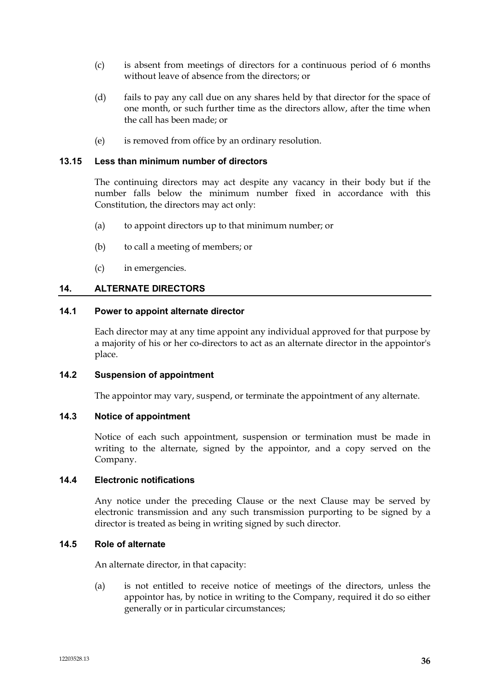- (c) is absent from meetings of directors for a continuous period of 6 months without leave of absence from the directors; or
- (d) fails to pay any call due on any shares held by that director for the space of one month, or such further time as the directors allow, after the time when the call has been made; or
- (e) is removed from office by an ordinary resolution.

### **13.15 Less than minimum number of directors**

The continuing directors may act despite any vacancy in their body but if the number falls below the minimum number fixed in accordance with this Constitution, the directors may act only:

- (a) to appoint directors up to that minimum number; or
- (b) to call a meeting of members; or
- (c) in emergencies.

### **14. ALTERNATE DIRECTORS**

### **14.1 Power to appoint alternate director**

Each director may at any time appoint any individual approved for that purpose by a majority of his or her co-directors to act as an alternate director in the appointor's place.

### **14.2 Suspension of appointment**

The appointor may vary, suspend, or terminate the appointment of any alternate.

#### **14.3 Notice of appointment**

Notice of each such appointment, suspension or termination must be made in writing to the alternate, signed by the appointor, and a copy served on the Company.

### **14.4 Electronic notifications**

Any notice under the preceding Clause or the next Clause may be served by electronic transmission and any such transmission purporting to be signed by a director is treated as being in writing signed by such director.

### **14.5 Role of alternate**

An alternate director, in that capacity:

(a) is not entitled to receive notice of meetings of the directors, unless the appointor has, by notice in writing to the Company, required it do so either generally or in particular circumstances;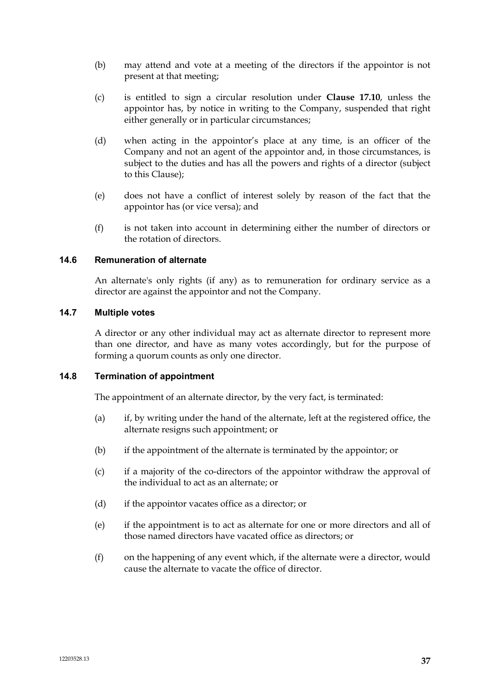- (b) may attend and vote at a meeting of the directors if the appointor is not present at that meeting;
- (c) is entitled to sign a circular resolution under **Clause 17.10**, unless the appointor has, by notice in writing to the Company, suspended that right either generally or in particular circumstances;
- (d) when acting in the appointor's place at any time, is an officer of the Company and not an agent of the appointor and, in those circumstances, is subject to the duties and has all the powers and rights of a director (subject to this Clause);
- (e) does not have a conflict of interest solely by reason of the fact that the appointor has (or vice versa); and
- (f) is not taken into account in determining either the number of directors or the rotation of directors.

### **14.6 Remuneration of alternate**

An alternate's only rights (if any) as to remuneration for ordinary service as a director are against the appointor and not the Company.

### **14.7 Multiple votes**

A director or any other individual may act as alternate director to represent more than one director, and have as many votes accordingly, but for the purpose of forming a quorum counts as only one director.

#### **14.8 Termination of appointment**

The appointment of an alternate director, by the very fact, is terminated:

- (a) if, by writing under the hand of the alternate, left at the registered office, the alternate resigns such appointment; or
- (b) if the appointment of the alternate is terminated by the appointor; or
- (c) if a majority of the co-directors of the appointor withdraw the approval of the individual to act as an alternate; or
- (d) if the appointor vacates office as a director; or
- (e) if the appointment is to act as alternate for one or more directors and all of those named directors have vacated office as directors; or
- (f) on the happening of any event which, if the alternate were a director, would cause the alternate to vacate the office of director.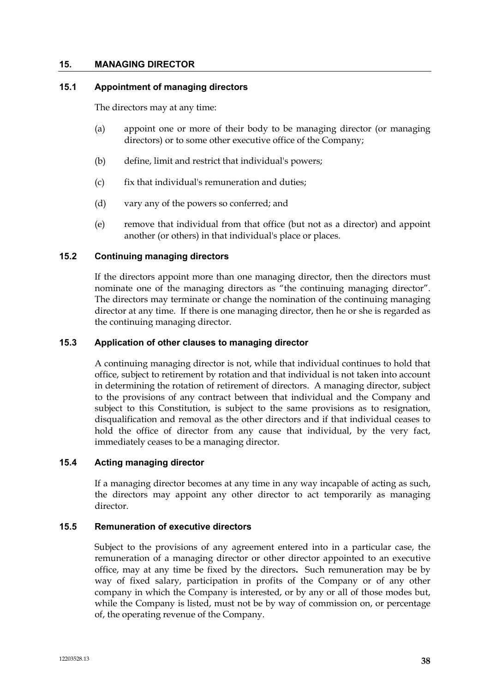### **15. MANAGING DIRECTOR**

# **15.1 Appointment of managing directors**

The directors may at any time:

- (a) appoint one or more of their body to be managing director (or managing directors) or to some other executive office of the Company;
- (b) define, limit and restrict that individual's powers;
- (c) fix that individual's remuneration and duties;
- (d) vary any of the powers so conferred; and
- (e) remove that individual from that office (but not as a director) and appoint another (or others) in that individual's place or places.

# **15.2 Continuing managing directors**

If the directors appoint more than one managing director, then the directors must nominate one of the managing directors as "the continuing managing director". The directors may terminate or change the nomination of the continuing managing director at any time. If there is one managing director, then he or she is regarded as the continuing managing director.

### **15.3 Application of other clauses to managing director**

A continuing managing director is not, while that individual continues to hold that office, subject to retirement by rotation and that individual is not taken into account in determining the rotation of retirement of directors. A managing director, subject to the provisions of any contract between that individual and the Company and subject to this Constitution, is subject to the same provisions as to resignation, disqualification and removal as the other directors and if that individual ceases to hold the office of director from any cause that individual, by the very fact, immediately ceases to be a managing director.

### **15.4 Acting managing director**

If a managing director becomes at any time in any way incapable of acting as such, the directors may appoint any other director to act temporarily as managing director.

#### **15.5 Remuneration of executive directors**

Subject to the provisions of any agreement entered into in a particular case, the remuneration of a managing director or other director appointed to an executive office, may at any time be fixed by the directors**.** Such remuneration may be by way of fixed salary, participation in profits of the Company or of any other company in which the Company is interested, or by any or all of those modes but, while the Company is listed, must not be by way of commission on, or percentage of, the operating revenue of the Company.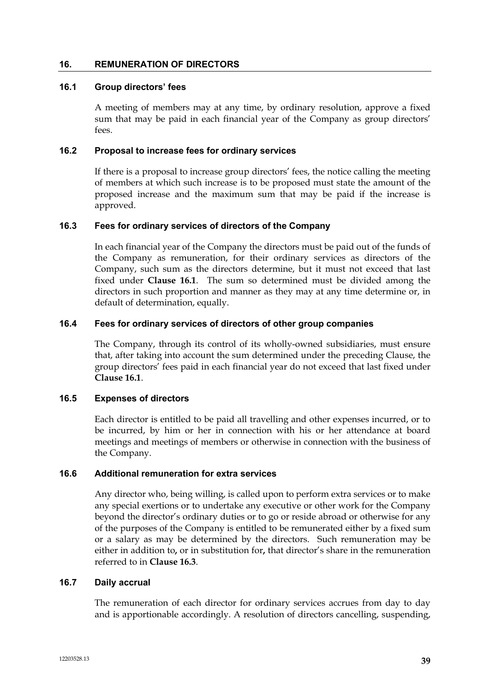### **16. REMUNERATION OF DIRECTORS**

### **16.1 Group directors' fees**

A meeting of members may at any time, by ordinary resolution, approve a fixed sum that may be paid in each financial year of the Company as group directors' fees.

# **16.2 Proposal to increase fees for ordinary services**

If there is a proposal to increase group directors' fees, the notice calling the meeting of members at which such increase is to be proposed must state the amount of the proposed increase and the maximum sum that may be paid if the increase is approved.

### **16.3 Fees for ordinary services of directors of the Company**

In each financial year of the Company the directors must be paid out of the funds of the Company as remuneration, for their ordinary services as directors of the Company, such sum as the directors determine, but it must not exceed that last fixed under **Clause 16.1**. The sum so determined must be divided among the directors in such proportion and manner as they may at any time determine or, in default of determination, equally.

# **16.4 Fees for ordinary services of directors of other group companies**

The Company, through its control of its wholly-owned subsidiaries, must ensure that, after taking into account the sum determined under the preceding Clause, the group directors' fees paid in each financial year do not exceed that last fixed under **Clause 16.1**.

# **16.5 Expenses of directors**

Each director is entitled to be paid all travelling and other expenses incurred, or to be incurred, by him or her in connection with his or her attendance at board meetings and meetings of members or otherwise in connection with the business of the Company.

# **16.6 Additional remuneration for extra services**

Any director who, being willing, is called upon to perform extra services or to make any special exertions or to undertake any executive or other work for the Company beyond the director's ordinary duties or to go or reside abroad or otherwise for any of the purposes of the Company is entitled to be remunerated either by a fixed sum or a salary as may be determined by the directors. Such remuneration may be either in addition to**,** or in substitution for**,** that director's share in the remuneration referred to in **Clause 16.3**.

# **16.7 Daily accrual**

The remuneration of each director for ordinary services accrues from day to day and is apportionable accordingly. A resolution of directors cancelling, suspending,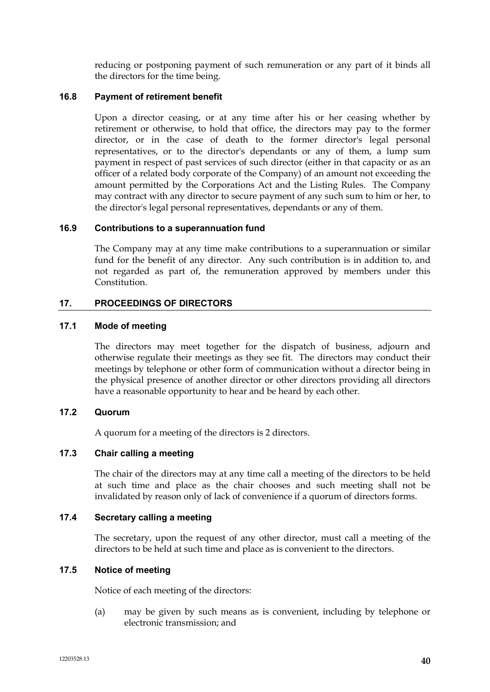reducing or postponing payment of such remuneration or any part of it binds all the directors for the time being.

# **16.8 Payment of retirement benefit**

Upon a director ceasing, or at any time after his or her ceasing whether by retirement or otherwise, to hold that office, the directors may pay to the former director, or in the case of death to the former director's legal personal representatives, or to the director's dependants or any of them, a lump sum payment in respect of past services of such director (either in that capacity or as an officer of a related body corporate of the Company) of an amount not exceeding the amount permitted by the Corporations Act and the Listing Rules. The Company may contract with any director to secure payment of any such sum to him or her, to the director's legal personal representatives, dependants or any of them.

### **16.9 Contributions to a superannuation fund**

The Company may at any time make contributions to a superannuation or similar fund for the benefit of any director. Any such contribution is in addition to, and not regarded as part of, the remuneration approved by members under this Constitution.

# **17. PROCEEDINGS OF DIRECTORS**

#### **17.1 Mode of meeting**

The directors may meet together for the dispatch of business, adjourn and otherwise regulate their meetings as they see fit. The directors may conduct their meetings by telephone or other form of communication without a director being in the physical presence of another director or other directors providing all directors have a reasonable opportunity to hear and be heard by each other.

# **17.2 Quorum**

A quorum for a meeting of the directors is 2 directors.

### **17.3 Chair calling a meeting**

The chair of the directors may at any time call a meeting of the directors to be held at such time and place as the chair chooses and such meeting shall not be invalidated by reason only of lack of convenience if a quorum of directors forms.

# **17.4 Secretary calling a meeting**

The secretary, upon the request of any other director, must call a meeting of the directors to be held at such time and place as is convenient to the directors.

#### **17.5 Notice of meeting**

Notice of each meeting of the directors:

(a) may be given by such means as is convenient, including by telephone or electronic transmission; and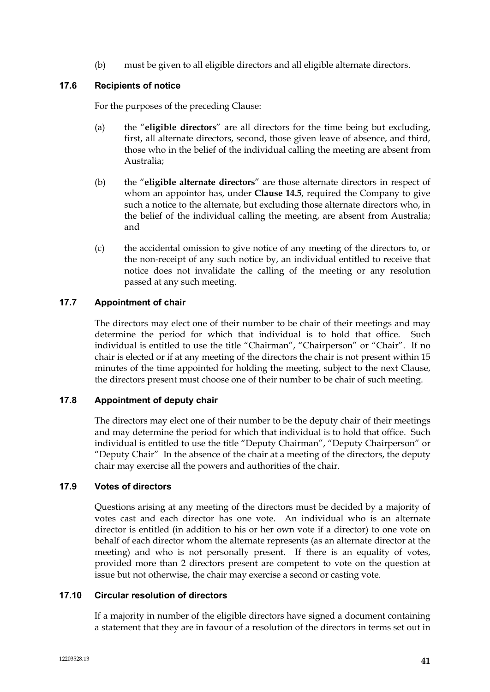(b) must be given to all eligible directors and all eligible alternate directors.

# **17.6 Recipients of notice**

For the purposes of the preceding Clause:

- (a) the "**eligible directors**" are all directors for the time being but excluding, first, all alternate directors, second, those given leave of absence, and third, those who in the belief of the individual calling the meeting are absent from Australia;
- (b) the "**eligible alternate directors**" are those alternate directors in respect of whom an appointor has, under **Clause 14.5**, required the Company to give such a notice to the alternate, but excluding those alternate directors who, in the belief of the individual calling the meeting, are absent from Australia; and
- (c) the accidental omission to give notice of any meeting of the directors to, or the non-receipt of any such notice by, an individual entitled to receive that notice does not invalidate the calling of the meeting or any resolution passed at any such meeting.

# **17.7 Appointment of chair**

The directors may elect one of their number to be chair of their meetings and may determine the period for which that individual is to hold that office. Such individual is entitled to use the title "Chairman", "Chairperson" or "Chair". If no chair is elected or if at any meeting of the directors the chair is not present within 15 minutes of the time appointed for holding the meeting, subject to the next Clause, the directors present must choose one of their number to be chair of such meeting.

# **17.8 Appointment of deputy chair**

The directors may elect one of their number to be the deputy chair of their meetings and may determine the period for which that individual is to hold that office. Such individual is entitled to use the title "Deputy Chairman", "Deputy Chairperson" or "Deputy Chair" In the absence of the chair at a meeting of the directors, the deputy chair may exercise all the powers and authorities of the chair.

# **17.9 Votes of directors**

Questions arising at any meeting of the directors must be decided by a majority of votes cast and each director has one vote. An individual who is an alternate director is entitled (in addition to his or her own vote if a director) to one vote on behalf of each director whom the alternate represents (as an alternate director at the meeting) and who is not personally present. If there is an equality of votes, provided more than 2 directors present are competent to vote on the question at issue but not otherwise, the chair may exercise a second or casting vote.

#### **17.10 Circular resolution of directors**

If a majority in number of the eligible directors have signed a document containing a statement that they are in favour of a resolution of the directors in terms set out in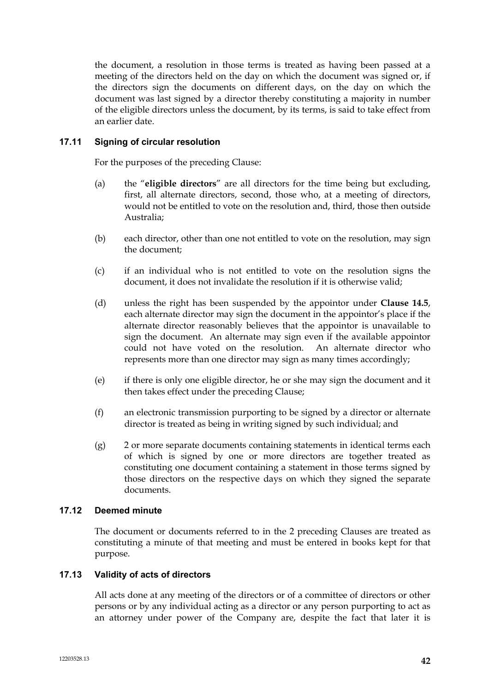the document, a resolution in those terms is treated as having been passed at a meeting of the directors held on the day on which the document was signed or, if the directors sign the documents on different days, on the day on which the document was last signed by a director thereby constituting a majority in number of the eligible directors unless the document, by its terms, is said to take effect from an earlier date.

# **17.11 Signing of circular resolution**

For the purposes of the preceding Clause:

- (a) the "**eligible directors**" are all directors for the time being but excluding, first, all alternate directors, second, those who, at a meeting of directors, would not be entitled to vote on the resolution and, third, those then outside Australia;
- (b) each director, other than one not entitled to vote on the resolution, may sign the document;
- (c) if an individual who is not entitled to vote on the resolution signs the document, it does not invalidate the resolution if it is otherwise valid;
- (d) unless the right has been suspended by the appointor under **Clause 14.5**, each alternate director may sign the document in the appointor's place if the alternate director reasonably believes that the appointor is unavailable to sign the document. An alternate may sign even if the available appointor could not have voted on the resolution. An alternate director who represents more than one director may sign as many times accordingly;
- (e) if there is only one eligible director, he or she may sign the document and it then takes effect under the preceding Clause;
- (f) an electronic transmission purporting to be signed by a director or alternate director is treated as being in writing signed by such individual; and
- (g) 2 or more separate documents containing statements in identical terms each of which is signed by one or more directors are together treated as constituting one document containing a statement in those terms signed by those directors on the respective days on which they signed the separate documents.

# **17.12 Deemed minute**

The document or documents referred to in the 2 preceding Clauses are treated as constituting a minute of that meeting and must be entered in books kept for that purpose.

# **17.13 Validity of acts of directors**

All acts done at any meeting of the directors or of a committee of directors or other persons or by any individual acting as a director or any person purporting to act as an attorney under power of the Company are, despite the fact that later it is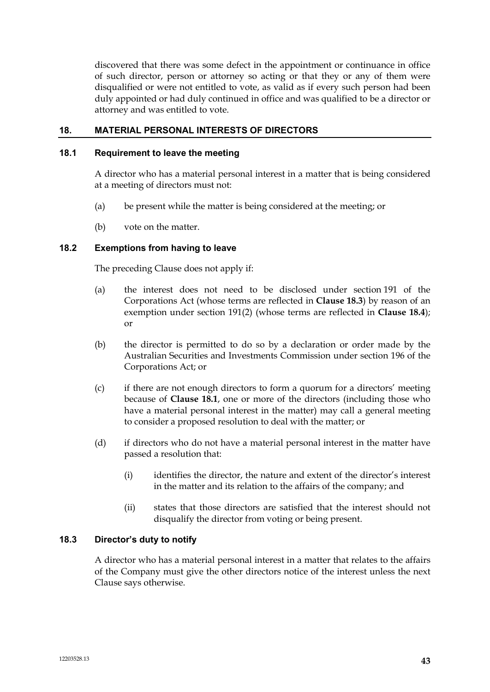discovered that there was some defect in the appointment or continuance in office of such director, person or attorney so acting or that they or any of them were disqualified or were not entitled to vote, as valid as if every such person had been duly appointed or had duly continued in office and was qualified to be a director or attorney and was entitled to vote.

# **18. MATERIAL PERSONAL INTERESTS OF DIRECTORS**

# **18.1 Requirement to leave the meeting**

A director who has a material personal interest in a matter that is being considered at a meeting of directors must not:

- (a) be present while the matter is being considered at the meeting; or
- (b) vote on the matter.

# **18.2 Exemptions from having to leave**

The preceding Clause does not apply if:

- (a) the interest does not need to be disclosed under section 191 of the Corporations Act (whose terms are reflected in **Clause 18.3**) by reason of an exemption under section 191(2) (whose terms are reflected in **Clause 18.4**); or
- (b) the director is permitted to do so by a declaration or order made by the Australian Securities and Investments Commission under section 196 of the Corporations Act; or
- (c) if there are not enough directors to form a quorum for a directors' meeting because of **Clause 18.1**, one or more of the directors (including those who have a material personal interest in the matter) may call a general meeting to consider a proposed resolution to deal with the matter; or
- (d) if directors who do not have a material personal interest in the matter have passed a resolution that:
	- (i) identifies the director, the nature and extent of the director's interest in the matter and its relation to the affairs of the company; and
	- (ii) states that those directors are satisfied that the interest should not disqualify the director from voting or being present.

# **18.3 Director's duty to notify**

A director who has a material personal interest in a matter that relates to the affairs of the Company must give the other directors notice of the interest unless the next Clause says otherwise.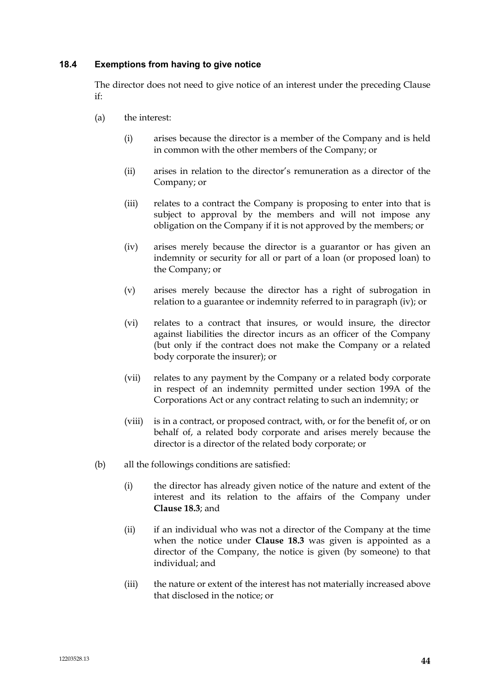# **18.4 Exemptions from having to give notice**

The director does not need to give notice of an interest under the preceding Clause if:

- (a) the interest:
	- (i) arises because the director is a member of the Company and is held in common with the other members of the Company; or
	- (ii) arises in relation to the director's remuneration as a director of the Company; or
	- (iii) relates to a contract the Company is proposing to enter into that is subject to approval by the members and will not impose any obligation on the Company if it is not approved by the members; or
	- (iv) arises merely because the director is a guarantor or has given an indemnity or security for all or part of a loan (or proposed loan) to the Company; or
	- (v) arises merely because the director has a right of subrogation in relation to a guarantee or indemnity referred to in paragraph (iv); or
	- (vi) relates to a contract that insures, or would insure, the director against liabilities the director incurs as an officer of the Company (but only if the contract does not make the Company or a related body corporate the insurer); or
	- (vii) relates to any payment by the Company or a related body corporate in respect of an indemnity permitted under section 199A of the Corporations Act or any contract relating to such an indemnity; or
	- (viii) is in a contract, or proposed contract, with, or for the benefit of, or on behalf of, a related body corporate and arises merely because the director is a director of the related body corporate; or
- (b) all the followings conditions are satisfied:
	- (i) the director has already given notice of the nature and extent of the interest and its relation to the affairs of the Company under **Clause 18.3**; and
	- (ii) if an individual who was not a director of the Company at the time when the notice under **Clause 18.3** was given is appointed as a director of the Company, the notice is given (by someone) to that individual; and
	- (iii) the nature or extent of the interest has not materially increased above that disclosed in the notice; or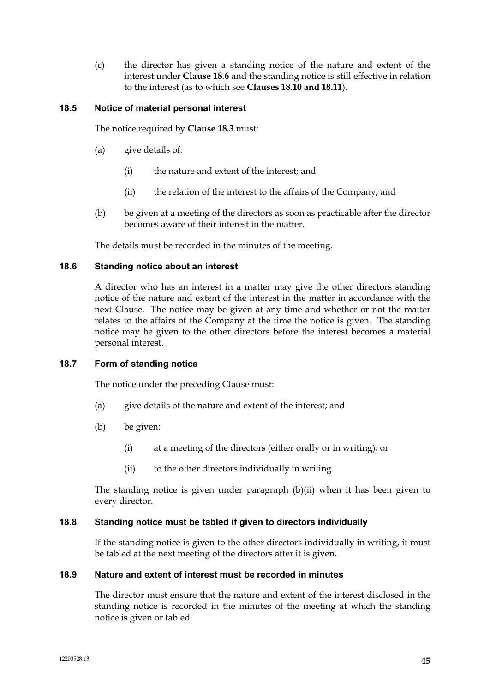(c) the director has given a standing notice of the nature and extent of the interest under **Clause 18.6** and the standing notice is still effective in relation to the interest (as to which see **Clauses 18.10 and 18.11**).

# **18.5 Notice of material personal interest**

The notice required by **Clause 18.3** must:

- (a) give details of:
	- (i) the nature and extent of the interest; and
	- (ii) the relation of the interest to the affairs of the Company; and
- (b) be given at a meeting of the directors as soon as practicable after the director becomes aware of their interest in the matter.

The details must be recorded in the minutes of the meeting.

# **18.6 Standing notice about an interest**

A director who has an interest in a matter may give the other directors standing notice of the nature and extent of the interest in the matter in accordance with the next Clause. The notice may be given at any time and whether or not the matter relates to the affairs of the Company at the time the notice is given. The standing notice may be given to the other directors before the interest becomes a material personal interest.

# **18.7 Form of standing notice**

The notice under the preceding Clause must:

- (a) give details of the nature and extent of the interest; and
- (b) be given:
	- (i) at a meeting of the directors (either orally or in writing); or
	- (ii) to the other directors individually in writing.

The standing notice is given under paragraph (b)(ii) when it has been given to every director.

#### **18.8 Standing notice must be tabled if given to directors individually**

If the standing notice is given to the other directors individually in writing, it must be tabled at the next meeting of the directors after it is given.

### **18.9 Nature and extent of interest must be recorded in minutes**

The director must ensure that the nature and extent of the interest disclosed in the standing notice is recorded in the minutes of the meeting at which the standing notice is given or tabled.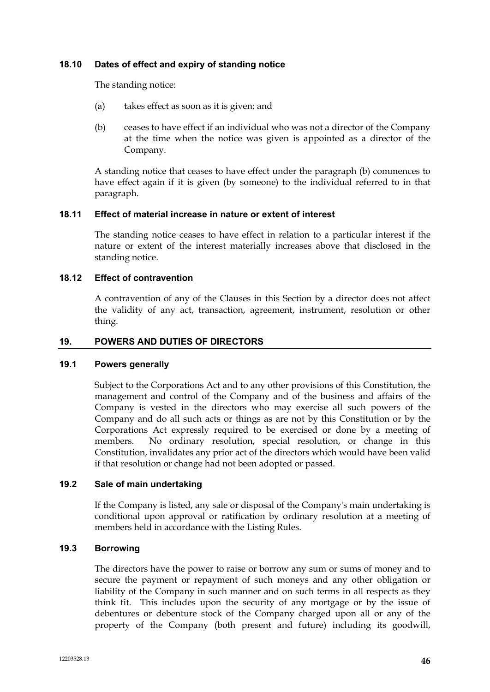# **18.10 Dates of effect and expiry of standing notice**

The standing notice:

- (a) takes effect as soon as it is given; and
- (b) ceases to have effect if an individual who was not a director of the Company at the time when the notice was given is appointed as a director of the Company.

A standing notice that ceases to have effect under the paragraph (b) commences to have effect again if it is given (by someone) to the individual referred to in that paragraph.

# **18.11 Effect of material increase in nature or extent of interest**

The standing notice ceases to have effect in relation to a particular interest if the nature or extent of the interest materially increases above that disclosed in the standing notice.

### **18.12 Effect of contravention**

A contravention of any of the Clauses in this Section by a director does not affect the validity of any act, transaction, agreement, instrument, resolution or other thing.

### **19. POWERS AND DUTIES OF DIRECTORS**

# **19.1 Powers generally**

Subject to the Corporations Act and to any other provisions of this Constitution, the management and control of the Company and of the business and affairs of the Company is vested in the directors who may exercise all such powers of the Company and do all such acts or things as are not by this Constitution or by the Corporations Act expressly required to be exercised or done by a meeting of members. No ordinary resolution, special resolution, or change in this Constitution, invalidates any prior act of the directors which would have been valid if that resolution or change had not been adopted or passed.

### **19.2 Sale of main undertaking**

If the Company is listed, any sale or disposal of the Company's main undertaking is conditional upon approval or ratification by ordinary resolution at a meeting of members held in accordance with the Listing Rules.

# **19.3 Borrowing**

The directors have the power to raise or borrow any sum or sums of money and to secure the payment or repayment of such moneys and any other obligation or liability of the Company in such manner and on such terms in all respects as they think fit. This includes upon the security of any mortgage or by the issue of debentures or debenture stock of the Company charged upon all or any of the property of the Company (both present and future) including its goodwill,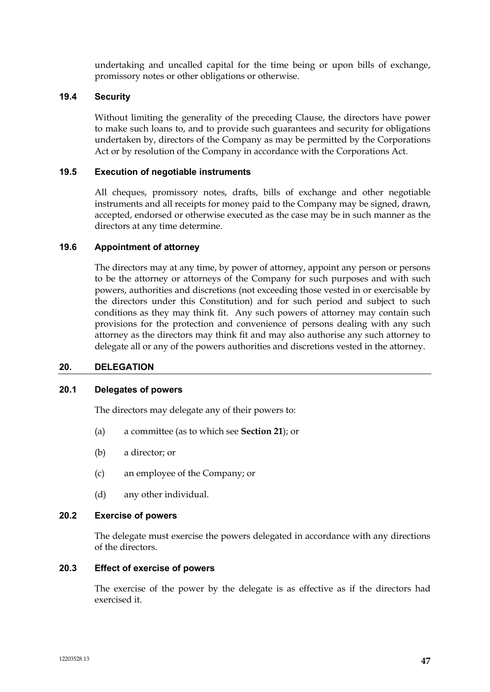undertaking and uncalled capital for the time being or upon bills of exchange, promissory notes or other obligations or otherwise.

# **19.4 Security**

Without limiting the generality of the preceding Clause, the directors have power to make such loans to, and to provide such guarantees and security for obligations undertaken by, directors of the Company as may be permitted by the Corporations Act or by resolution of the Company in accordance with the Corporations Act.

#### **19.5 Execution of negotiable instruments**

All cheques, promissory notes, drafts, bills of exchange and other negotiable instruments and all receipts for money paid to the Company may be signed, drawn, accepted, endorsed or otherwise executed as the case may be in such manner as the directors at any time determine.

### **19.6 Appointment of attorney**

The directors may at any time, by power of attorney, appoint any person or persons to be the attorney or attorneys of the Company for such purposes and with such powers, authorities and discretions (not exceeding those vested in or exercisable by the directors under this Constitution) and for such period and subject to such conditions as they may think fit. Any such powers of attorney may contain such provisions for the protection and convenience of persons dealing with any such attorney as the directors may think fit and may also authorise any such attorney to delegate all or any of the powers authorities and discretions vested in the attorney.

#### **20. DELEGATION**

#### **20.1 Delegates of powers**

The directors may delegate any of their powers to:

- (a) a committee (as to which see **Section 21**); or
- (b) a director; or
- (c) an employee of the Company; or
- (d) any other individual.

#### **20.2 Exercise of powers**

The delegate must exercise the powers delegated in accordance with any directions of the directors.

#### **20.3 Effect of exercise of powers**

The exercise of the power by the delegate is as effective as if the directors had exercised it.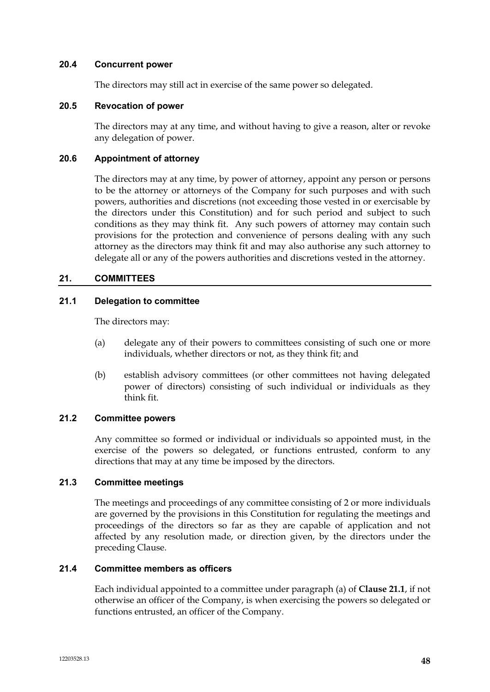### **20.4 Concurrent power**

The directors may still act in exercise of the same power so delegated.

# **20.5 Revocation of power**

The directors may at any time, and without having to give a reason, alter or revoke any delegation of power.

# **20.6 Appointment of attorney**

The directors may at any time, by power of attorney, appoint any person or persons to be the attorney or attorneys of the Company for such purposes and with such powers, authorities and discretions (not exceeding those vested in or exercisable by the directors under this Constitution) and for such period and subject to such conditions as they may think fit. Any such powers of attorney may contain such provisions for the protection and convenience of persons dealing with any such attorney as the directors may think fit and may also authorise any such attorney to delegate all or any of the powers authorities and discretions vested in the attorney.

# **21. COMMITTEES**

# **21.1 Delegation to committee**

The directors may:

- (a) delegate any of their powers to committees consisting of such one or more individuals, whether directors or not, as they think fit; and
- (b) establish advisory committees (or other committees not having delegated power of directors) consisting of such individual or individuals as they think fit.

### **21.2 Committee powers**

Any committee so formed or individual or individuals so appointed must, in the exercise of the powers so delegated, or functions entrusted, conform to any directions that may at any time be imposed by the directors.

#### **21.3 Committee meetings**

The meetings and proceedings of any committee consisting of 2 or more individuals are governed by the provisions in this Constitution for regulating the meetings and proceedings of the directors so far as they are capable of application and not affected by any resolution made, or direction given, by the directors under the preceding Clause.

#### **21.4 Committee members as officers**

Each individual appointed to a committee under paragraph (a) of **Clause 21.1**, if not otherwise an officer of the Company, is when exercising the powers so delegated or functions entrusted, an officer of the Company.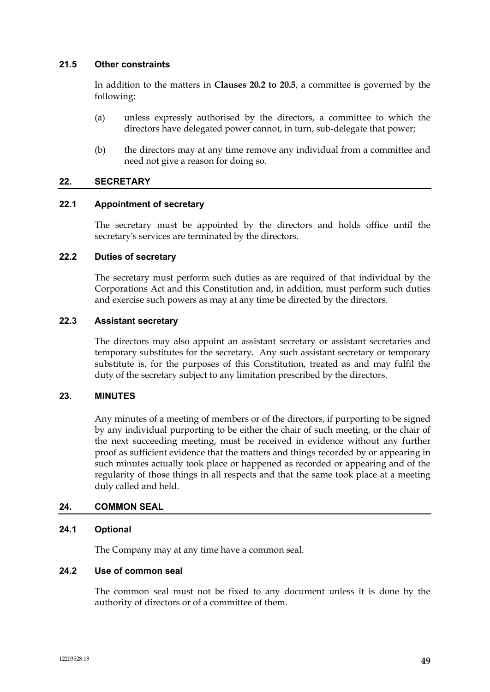### **21.5 Other constraints**

In addition to the matters in **Clauses 20.2 to 20.5**, a committee is governed by the following:

- (a) unless expressly authorised by the directors, a committee to which the directors have delegated power cannot, in turn, sub-delegate that power;
- (b) the directors may at any time remove any individual from a committee and need not give a reason for doing so.

# **22. SECRETARY**

# **22.1 Appointment of secretary**

The secretary must be appointed by the directors and holds office until the secretary's services are terminated by the directors.

# **22.2 Duties of secretary**

The secretary must perform such duties as are required of that individual by the Corporations Act and this Constitution and, in addition, must perform such duties and exercise such powers as may at any time be directed by the directors.

### **22.3 Assistant secretary**

The directors may also appoint an assistant secretary or assistant secretaries and temporary substitutes for the secretary. Any such assistant secretary or temporary substitute is, for the purposes of this Constitution, treated as and may fulfil the duty of the secretary subject to any limitation prescribed by the directors.

#### **23. MINUTES**

Any minutes of a meeting of members or of the directors, if purporting to be signed by any individual purporting to be either the chair of such meeting, or the chair of the next succeeding meeting, must be received in evidence without any further proof as sufficient evidence that the matters and things recorded by or appearing in such minutes actually took place or happened as recorded or appearing and of the regularity of those things in all respects and that the same took place at a meeting duly called and held.

#### **24. COMMON SEAL**

#### **24.1 Optional**

The Company may at any time have a common seal.

# **24.2 Use of common seal**

The common seal must not be fixed to any document unless it is done by the authority of directors or of a committee of them.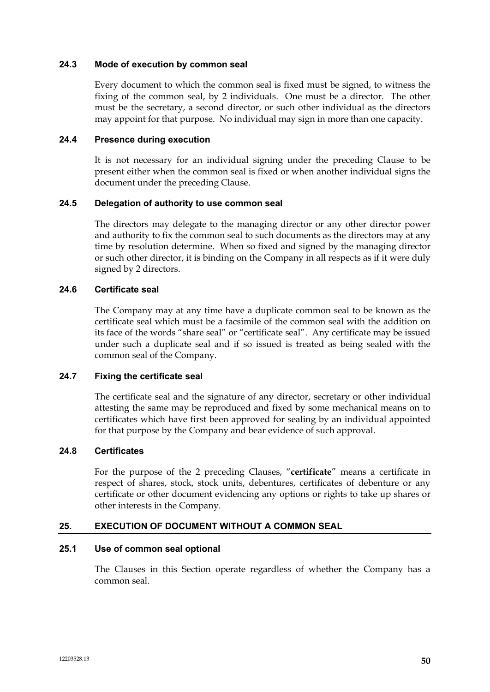### **24.3 Mode of execution by common seal**

Every document to which the common seal is fixed must be signed, to witness the fixing of the common seal, by 2 individuals. One must be a director. The other must be the secretary, a second director, or such other individual as the directors may appoint for that purpose. No individual may sign in more than one capacity.

# **24.4 Presence during execution**

It is not necessary for an individual signing under the preceding Clause to be present either when the common seal is fixed or when another individual signs the document under the preceding Clause.

### **24.5 Delegation of authority to use common seal**

The directors may delegate to the managing director or any other director power and authority to fix the common seal to such documents as the directors may at any time by resolution determine. When so fixed and signed by the managing director or such other director, it is binding on the Company in all respects as if it were duly signed by 2 directors.

### **24.6 Certificate seal**

The Company may at any time have a duplicate common seal to be known as the certificate seal which must be a facsimile of the common seal with the addition on its face of the words "share seal" or "certificate seal". Any certificate may be issued under such a duplicate seal and if so issued is treated as being sealed with the common seal of the Company.

# **24.7 Fixing the certificate seal**

The certificate seal and the signature of any director, secretary or other individual attesting the same may be reproduced and fixed by some mechanical means on to certificates which have first been approved for sealing by an individual appointed for that purpose by the Company and bear evidence of such approval.

# **24.8 Certificates**

For the purpose of the 2 preceding Clauses, "**certificate**" means a certificate in respect of shares, stock, stock units, debentures, certificates of debenture or any certificate or other document evidencing any options or rights to take up shares or other interests in the Company.

# **25. EXECUTION OF DOCUMENT WITHOUT A COMMON SEAL**

#### **25.1 Use of common seal optional**

The Clauses in this Section operate regardless of whether the Company has a common seal.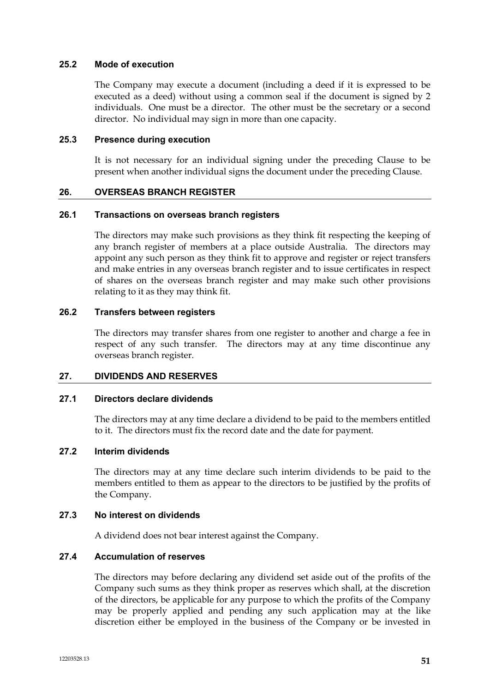### **25.2 Mode of execution**

The Company may execute a document (including a deed if it is expressed to be executed as a deed) without using a common seal if the document is signed by 2 individuals. One must be a director. The other must be the secretary or a second director. No individual may sign in more than one capacity.

### **25.3 Presence during execution**

It is not necessary for an individual signing under the preceding Clause to be present when another individual signs the document under the preceding Clause.

### **26. OVERSEAS BRANCH REGISTER**

#### **26.1 Transactions on overseas branch registers**

The directors may make such provisions as they think fit respecting the keeping of any branch register of members at a place outside Australia. The directors may appoint any such person as they think fit to approve and register or reject transfers and make entries in any overseas branch register and to issue certificates in respect of shares on the overseas branch register and may make such other provisions relating to it as they may think fit.

# **26.2 Transfers between registers**

The directors may transfer shares from one register to another and charge a fee in respect of any such transfer. The directors may at any time discontinue any overseas branch register.

#### **27. DIVIDENDS AND RESERVES**

#### **27.1 Directors declare dividends**

The directors may at any time declare a dividend to be paid to the members entitled to it. The directors must fix the record date and the date for payment.

# **27.2 Interim dividends**

The directors may at any time declare such interim dividends to be paid to the members entitled to them as appear to the directors to be justified by the profits of the Company.

#### **27.3 No interest on dividends**

A dividend does not bear interest against the Company.

#### **27.4 Accumulation of reserves**

The directors may before declaring any dividend set aside out of the profits of the Company such sums as they think proper as reserves which shall, at the discretion of the directors, be applicable for any purpose to which the profits of the Company may be properly applied and pending any such application may at the like discretion either be employed in the business of the Company or be invested in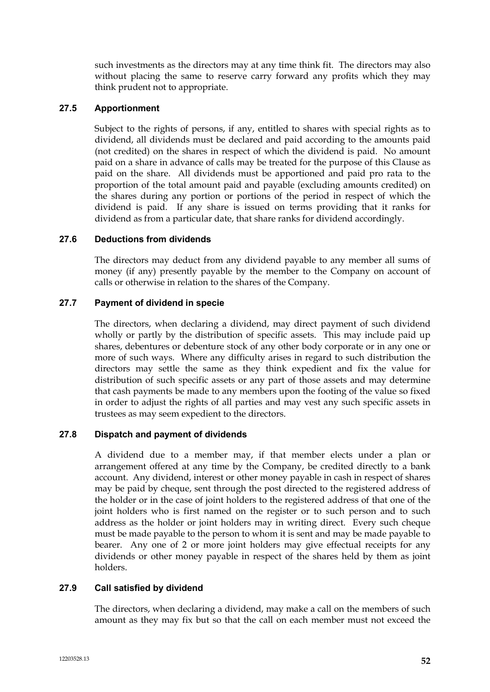such investments as the directors may at any time think fit. The directors may also without placing the same to reserve carry forward any profits which they may think prudent not to appropriate.

# **27.5 Apportionment**

Subject to the rights of persons, if any, entitled to shares with special rights as to dividend, all dividends must be declared and paid according to the amounts paid (not credited) on the shares in respect of which the dividend is paid. No amount paid on a share in advance of calls may be treated for the purpose of this Clause as paid on the share. All dividends must be apportioned and paid pro rata to the proportion of the total amount paid and payable (excluding amounts credited) on the shares during any portion or portions of the period in respect of which the dividend is paid. If any share is issued on terms providing that it ranks for dividend as from a particular date, that share ranks for dividend accordingly.

# **27.6 Deductions from dividends**

The directors may deduct from any dividend payable to any member all sums of money (if any) presently payable by the member to the Company on account of calls or otherwise in relation to the shares of the Company.

# **27.7 Payment of dividend in specie**

The directors, when declaring a dividend, may direct payment of such dividend wholly or partly by the distribution of specific assets. This may include paid up shares, debentures or debenture stock of any other body corporate or in any one or more of such ways. Where any difficulty arises in regard to such distribution the directors may settle the same as they think expedient and fix the value for distribution of such specific assets or any part of those assets and may determine that cash payments be made to any members upon the footing of the value so fixed in order to adjust the rights of all parties and may vest any such specific assets in trustees as may seem expedient to the directors.

# **27.8 Dispatch and payment of dividends**

A dividend due to a member may, if that member elects under a plan or arrangement offered at any time by the Company, be credited directly to a bank account. Any dividend, interest or other money payable in cash in respect of shares may be paid by cheque, sent through the post directed to the registered address of the holder or in the case of joint holders to the registered address of that one of the joint holders who is first named on the register or to such person and to such address as the holder or joint holders may in writing direct. Every such cheque must be made payable to the person to whom it is sent and may be made payable to bearer. Any one of 2 or more joint holders may give effectual receipts for any dividends or other money payable in respect of the shares held by them as joint holders.

# **27.9 Call satisfied by dividend**

The directors, when declaring a dividend, may make a call on the members of such amount as they may fix but so that the call on each member must not exceed the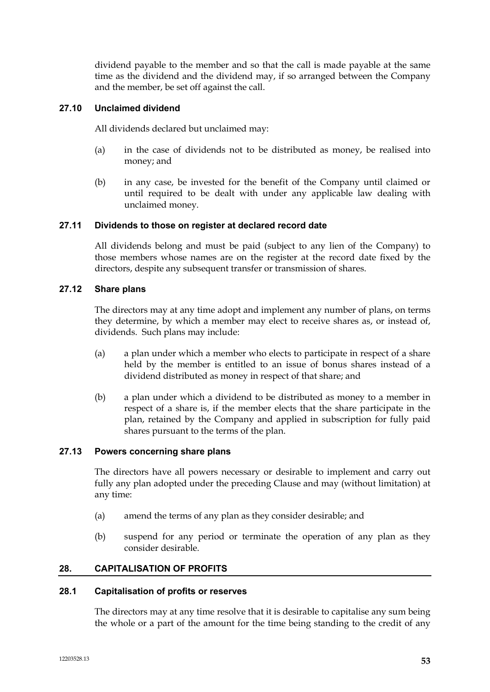dividend payable to the member and so that the call is made payable at the same time as the dividend and the dividend may, if so arranged between the Company and the member, be set off against the call.

# **27.10 Unclaimed dividend**

All dividends declared but unclaimed may:

- (a) in the case of dividends not to be distributed as money, be realised into money; and
- (b) in any case, be invested for the benefit of the Company until claimed or until required to be dealt with under any applicable law dealing with unclaimed money.

# **27.11 Dividends to those on register at declared record date**

All dividends belong and must be paid (subject to any lien of the Company) to those members whose names are on the register at the record date fixed by the directors, despite any subsequent transfer or transmission of shares.

# **27.12 Share plans**

The directors may at any time adopt and implement any number of plans, on terms they determine, by which a member may elect to receive shares as, or instead of, dividends. Such plans may include:

- (a) a plan under which a member who elects to participate in respect of a share held by the member is entitled to an issue of bonus shares instead of a dividend distributed as money in respect of that share; and
- (b) a plan under which a dividend to be distributed as money to a member in respect of a share is, if the member elects that the share participate in the plan, retained by the Company and applied in subscription for fully paid shares pursuant to the terms of the plan.

# **27.13 Powers concerning share plans**

The directors have all powers necessary or desirable to implement and carry out fully any plan adopted under the preceding Clause and may (without limitation) at any time:

- (a) amend the terms of any plan as they consider desirable; and
- (b) suspend for any period or terminate the operation of any plan as they consider desirable.

# **28. CAPITALISATION OF PROFITS**

# **28.1 Capitalisation of profits or reserves**

The directors may at any time resolve that it is desirable to capitalise any sum being the whole or a part of the amount for the time being standing to the credit of any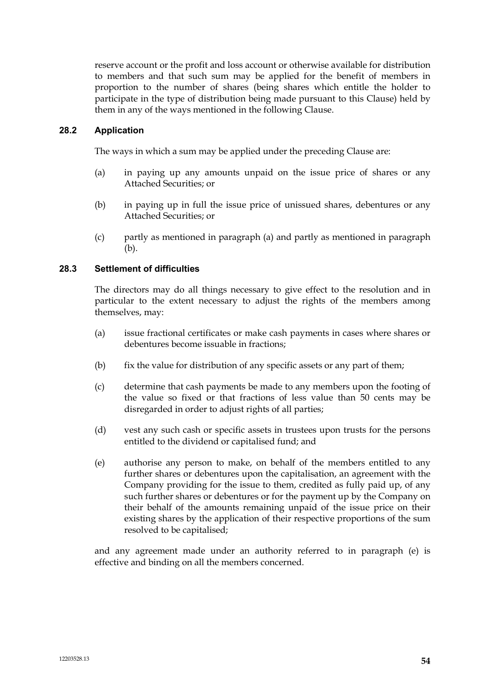reserve account or the profit and loss account or otherwise available for distribution to members and that such sum may be applied for the benefit of members in proportion to the number of shares (being shares which entitle the holder to participate in the type of distribution being made pursuant to this Clause) held by them in any of the ways mentioned in the following Clause.

# **28.2 Application**

The ways in which a sum may be applied under the preceding Clause are:

- (a) in paying up any amounts unpaid on the issue price of shares or any Attached Securities; or
- (b) in paying up in full the issue price of unissued shares, debentures or any Attached Securities; or
- (c) partly as mentioned in paragraph (a) and partly as mentioned in paragraph (b).

# **28.3 Settlement of difficulties**

The directors may do all things necessary to give effect to the resolution and in particular to the extent necessary to adjust the rights of the members among themselves, may:

- (a) issue fractional certificates or make cash payments in cases where shares or debentures become issuable in fractions;
- (b) fix the value for distribution of any specific assets or any part of them;
- (c) determine that cash payments be made to any members upon the footing of the value so fixed or that fractions of less value than 50 cents may be disregarded in order to adjust rights of all parties;
- (d) vest any such cash or specific assets in trustees upon trusts for the persons entitled to the dividend or capitalised fund; and
- (e) authorise any person to make, on behalf of the members entitled to any further shares or debentures upon the capitalisation, an agreement with the Company providing for the issue to them, credited as fully paid up, of any such further shares or debentures or for the payment up by the Company on their behalf of the amounts remaining unpaid of the issue price on their existing shares by the application of their respective proportions of the sum resolved to be capitalised;

and any agreement made under an authority referred to in paragraph (e) is effective and binding on all the members concerned.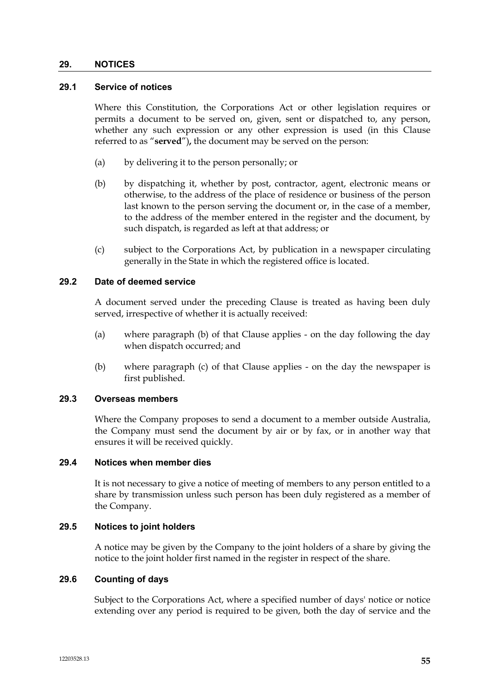#### **29. NOTICES**

# **29.1 Service of notices**

Where this Constitution, the Corporations Act or other legislation requires or permits a document to be served on, given, sent or dispatched to, any person, whether any such expression or any other expression is used (in this Clause referred to as "**served**")**,** the document may be served on the person:

- (a) by delivering it to the person personally; or
- (b) by dispatching it, whether by post, contractor, agent, electronic means or otherwise, to the address of the place of residence or business of the person last known to the person serving the document or, in the case of a member, to the address of the member entered in the register and the document, by such dispatch, is regarded as left at that address; or
- (c) subject to the Corporations Act, by publication in a newspaper circulating generally in the State in which the registered office is located.

### **29.2 Date of deemed service**

A document served under the preceding Clause is treated as having been duly served, irrespective of whether it is actually received:

- (a) where paragraph (b) of that Clause applies on the day following the day when dispatch occurred; and
- (b) where paragraph (c) of that Clause applies on the day the newspaper is first published.

#### **29.3 Overseas members**

Where the Company proposes to send a document to a member outside Australia, the Company must send the document by air or by fax, or in another way that ensures it will be received quickly.

### **29.4 Notices when member dies**

It is not necessary to give a notice of meeting of members to any person entitled to a share by transmission unless such person has been duly registered as a member of the Company.

### **29.5 Notices to joint holders**

A notice may be given by the Company to the joint holders of a share by giving the notice to the joint holder first named in the register in respect of the share.

### **29.6 Counting of days**

Subject to the Corporations Act, where a specified number of days' notice or notice extending over any period is required to be given, both the day of service and the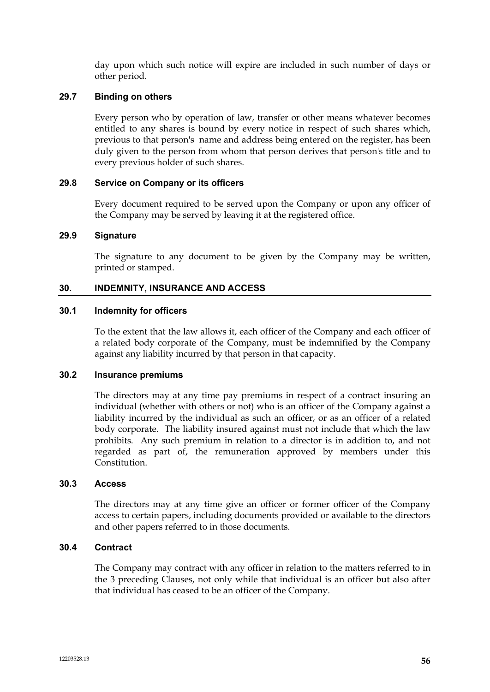day upon which such notice will expire are included in such number of days or other period.

# **29.7 Binding on others**

Every person who by operation of law, transfer or other means whatever becomes entitled to any shares is bound by every notice in respect of such shares which, previous to that person's name and address being entered on the register, has been duly given to the person from whom that person derives that person's title and to every previous holder of such shares.

### **29.8 Service on Company or its officers**

Every document required to be served upon the Company or upon any officer of the Company may be served by leaving it at the registered office.

#### **29.9 Signature**

The signature to any document to be given by the Company may be written, printed or stamped.

### **30. INDEMNITY, INSURANCE AND ACCESS**

#### **30.1 Indemnity for officers**

To the extent that the law allows it, each officer of the Company and each officer of a related body corporate of the Company, must be indemnified by the Company against any liability incurred by that person in that capacity.

### **30.2 Insurance premiums**

The directors may at any time pay premiums in respect of a contract insuring an individual (whether with others or not) who is an officer of the Company against a liability incurred by the individual as such an officer, or as an officer of a related body corporate. The liability insured against must not include that which the law prohibits. Any such premium in relation to a director is in addition to, and not regarded as part of, the remuneration approved by members under this Constitution.

### **30.3 Access**

The directors may at any time give an officer or former officer of the Company access to certain papers, including documents provided or available to the directors and other papers referred to in those documents.

### **30.4 Contract**

The Company may contract with any officer in relation to the matters referred to in the 3 preceding Clauses, not only while that individual is an officer but also after that individual has ceased to be an officer of the Company.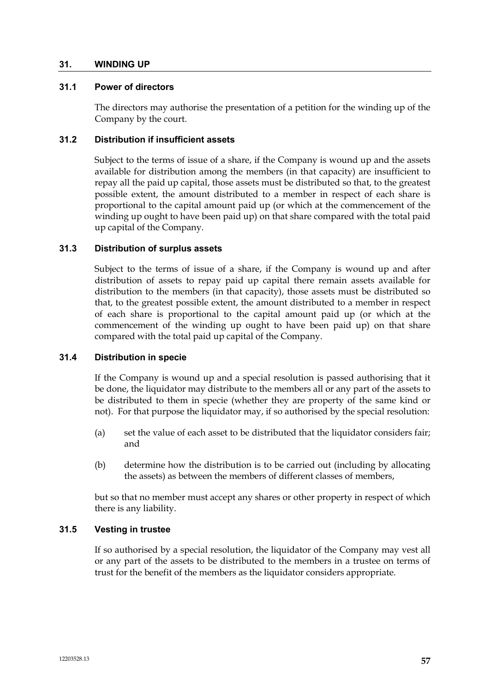### **31. WINDING UP**

# **31.1 Power of directors**

The directors may authorise the presentation of a petition for the winding up of the Company by the court.

# **31.2 Distribution if insufficient assets**

Subject to the terms of issue of a share, if the Company is wound up and the assets available for distribution among the members (in that capacity) are insufficient to repay all the paid up capital, those assets must be distributed so that, to the greatest possible extent, the amount distributed to a member in respect of each share is proportional to the capital amount paid up (or which at the commencement of the winding up ought to have been paid up) on that share compared with the total paid up capital of the Company.

### **31.3 Distribution of surplus assets**

Subject to the terms of issue of a share, if the Company is wound up and after distribution of assets to repay paid up capital there remain assets available for distribution to the members (in that capacity), those assets must be distributed so that, to the greatest possible extent, the amount distributed to a member in respect of each share is proportional to the capital amount paid up (or which at the commencement of the winding up ought to have been paid up) on that share compared with the total paid up capital of the Company.

#### **31.4 Distribution in specie**

If the Company is wound up and a special resolution is passed authorising that it be done, the liquidator may distribute to the members all or any part of the assets to be distributed to them in specie (whether they are property of the same kind or not). For that purpose the liquidator may, if so authorised by the special resolution:

- (a) set the value of each asset to be distributed that the liquidator considers fair; and
- (b) determine how the distribution is to be carried out (including by allocating the assets) as between the members of different classes of members,

but so that no member must accept any shares or other property in respect of which there is any liability.

#### **31.5 Vesting in trustee**

If so authorised by a special resolution, the liquidator of the Company may vest all or any part of the assets to be distributed to the members in a trustee on terms of trust for the benefit of the members as the liquidator considers appropriate.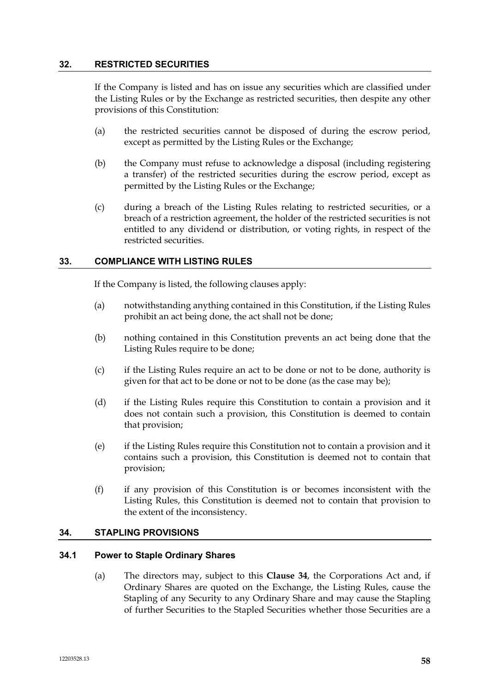### **32. RESTRICTED SECURITIES**

If the Company is listed and has on issue any securities which are classified under the Listing Rules or by the Exchange as restricted securities, then despite any other provisions of this Constitution:

- (a) the restricted securities cannot be disposed of during the escrow period, except as permitted by the Listing Rules or the Exchange;
- (b) the Company must refuse to acknowledge a disposal (including registering a transfer) of the restricted securities during the escrow period, except as permitted by the Listing Rules or the Exchange;
- (c) during a breach of the Listing Rules relating to restricted securities, or a breach of a restriction agreement, the holder of the restricted securities is not entitled to any dividend or distribution, or voting rights, in respect of the restricted securities.

# **33. COMPLIANCE WITH LISTING RULES**

If the Company is listed, the following clauses apply:

- (a) notwithstanding anything contained in this Constitution, if the Listing Rules prohibit an act being done, the act shall not be done;
- (b) nothing contained in this Constitution prevents an act being done that the Listing Rules require to be done;
- (c) if the Listing Rules require an act to be done or not to be done, authority is given for that act to be done or not to be done (as the case may be);
- (d) if the Listing Rules require this Constitution to contain a provision and it does not contain such a provision, this Constitution is deemed to contain that provision;
- (e) if the Listing Rules require this Constitution not to contain a provision and it contains such a provision, this Constitution is deemed not to contain that provision;
- (f) if any provision of this Constitution is or becomes inconsistent with the Listing Rules, this Constitution is deemed not to contain that provision to the extent of the inconsistency.

# **34. STAPLING PROVISIONS**

#### **34.1 Power to Staple Ordinary Shares**

(a) The directors may, subject to this **Clause 34**, the Corporations Act and, if Ordinary Shares are quoted on the Exchange, the Listing Rules, cause the Stapling of any Security to any Ordinary Share and may cause the Stapling of further Securities to the Stapled Securities whether those Securities are a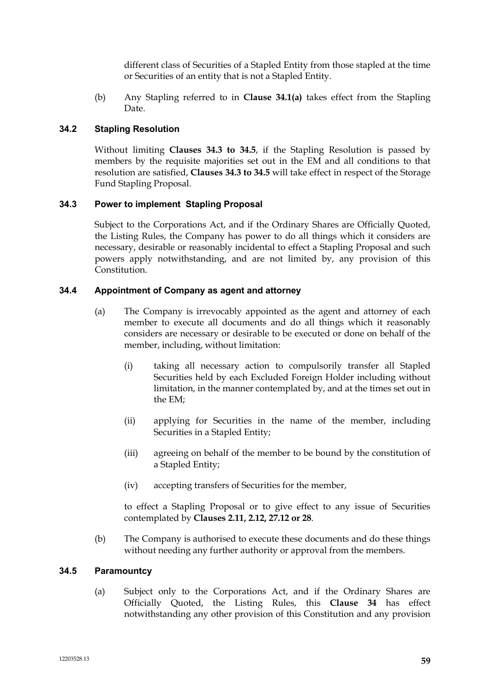different class of Securities of a Stapled Entity from those stapled at the time or Securities of an entity that is not a Stapled Entity.

(b) Any Stapling referred to in **Clause 34.1(a)** takes effect from the Stapling Date.

# **34.2 Stapling Resolution**

Without limiting **Clauses 34.3 to 34.5**, if the Stapling Resolution is passed by members by the requisite majorities set out in the EM and all conditions to that resolution are satisfied, **Clauses 34.3 to 34.5** will take effect in respect of the Storage Fund Stapling Proposal.

# **34.3 Power to implement Stapling Proposal**

Subject to the Corporations Act, and if the Ordinary Shares are Officially Quoted, the Listing Rules, the Company has power to do all things which it considers are necessary, desirable or reasonably incidental to effect a Stapling Proposal and such powers apply notwithstanding, and are not limited by, any provision of this Constitution.

# **34.4 Appointment of Company as agent and attorney**

- (a) The Company is irrevocably appointed as the agent and attorney of each member to execute all documents and do all things which it reasonably considers are necessary or desirable to be executed or done on behalf of the member, including, without limitation:
	- (i) taking all necessary action to compulsorily transfer all Stapled Securities held by each Excluded Foreign Holder including without limitation, in the manner contemplated by, and at the times set out in the EM;
	- (ii) applying for Securities in the name of the member, including Securities in a Stapled Entity;
	- (iii) agreeing on behalf of the member to be bound by the constitution of a Stapled Entity;
	- (iv) accepting transfers of Securities for the member,

to effect a Stapling Proposal or to give effect to any issue of Securities contemplated by **Clauses 2.11, 2.12, 27.12 or 28**.

(b) The Company is authorised to execute these documents and do these things without needing any further authority or approval from the members.

# **34.5 Paramountcy**

(a) Subject only to the Corporations Act, and if the Ordinary Shares are Officially Quoted, the Listing Rules, this **Clause 34** has effect notwithstanding any other provision of this Constitution and any provision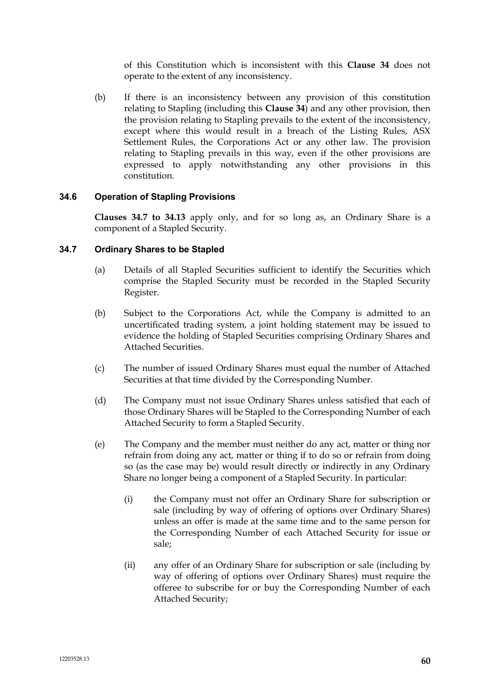of this Constitution which is inconsistent with this **Clause 34** does not operate to the extent of any inconsistency.

(b) If there is an inconsistency between any provision of this constitution relating to Stapling (including this **Clause 34**) and any other provision, then the provision relating to Stapling prevails to the extent of the inconsistency, except where this would result in a breach of the Listing Rules, ASX Settlement Rules, the Corporations Act or any other law. The provision relating to Stapling prevails in this way, even if the other provisions are expressed to apply notwithstanding any other provisions in this constitution.

### **34.6 Operation of Stapling Provisions**

**Clauses 34.7 to 34.13** apply only, and for so long as, an Ordinary Share is a component of a Stapled Security.

#### **34.7 Ordinary Shares to be Stapled**

- (a) Details of all Stapled Securities sufficient to identify the Securities which comprise the Stapled Security must be recorded in the Stapled Security Register.
- (b) Subject to the Corporations Act, while the Company is admitted to an uncertificated trading system, a joint holding statement may be issued to evidence the holding of Stapled Securities comprising Ordinary Shares and Attached Securities.
- (c) The number of issued Ordinary Shares must equal the number of Attached Securities at that time divided by the Corresponding Number.
- (d) The Company must not issue Ordinary Shares unless satisfied that each of those Ordinary Shares will be Stapled to the Corresponding Number of each Attached Security to form a Stapled Security.
- (e) The Company and the member must neither do any act, matter or thing nor refrain from doing any act, matter or thing if to do so or refrain from doing so (as the case may be) would result directly or indirectly in any Ordinary Share no longer being a component of a Stapled Security. In particular:
	- (i) the Company must not offer an Ordinary Share for subscription or sale (including by way of offering of options over Ordinary Shares) unless an offer is made at the same time and to the same person for the Corresponding Number of each Attached Security for issue or sale;
	- (ii) any offer of an Ordinary Share for subscription or sale (including by way of offering of options over Ordinary Shares) must require the offeree to subscribe for or buy the Corresponding Number of each Attached Security;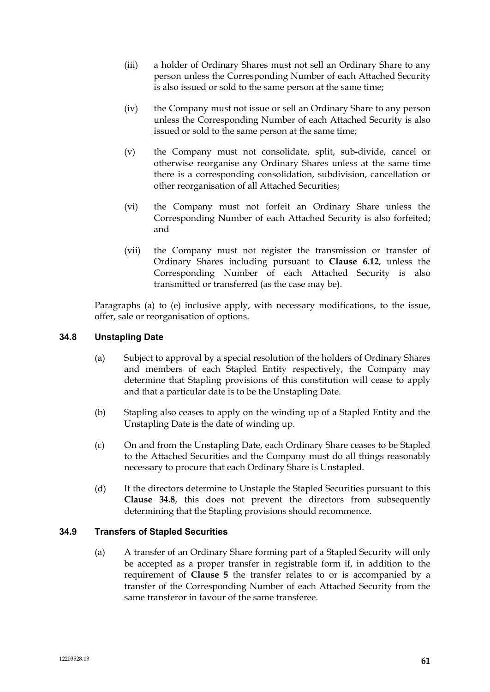- (iii) a holder of Ordinary Shares must not sell an Ordinary Share to any person unless the Corresponding Number of each Attached Security is also issued or sold to the same person at the same time;
- (iv) the Company must not issue or sell an Ordinary Share to any person unless the Corresponding Number of each Attached Security is also issued or sold to the same person at the same time;
- (v) the Company must not consolidate, split, sub-divide, cancel or otherwise reorganise any Ordinary Shares unless at the same time there is a corresponding consolidation, subdivision, cancellation or other reorganisation of all Attached Securities;
- (vi) the Company must not forfeit an Ordinary Share unless the Corresponding Number of each Attached Security is also forfeited; and
- (vii) the Company must not register the transmission or transfer of Ordinary Shares including pursuant to **Clause 6.12**, unless the Corresponding Number of each Attached Security is also transmitted or transferred (as the case may be).

Paragraphs (a) to (e) inclusive apply, with necessary modifications, to the issue, offer, sale or reorganisation of options.

# **34.8 Unstapling Date**

- (a) Subject to approval by a special resolution of the holders of Ordinary Shares and members of each Stapled Entity respectively, the Company may determine that Stapling provisions of this constitution will cease to apply and that a particular date is to be the Unstapling Date.
- (b) Stapling also ceases to apply on the winding up of a Stapled Entity and the Unstapling Date is the date of winding up.
- (c) On and from the Unstapling Date, each Ordinary Share ceases to be Stapled to the Attached Securities and the Company must do all things reasonably necessary to procure that each Ordinary Share is Unstapled.
- (d) If the directors determine to Unstaple the Stapled Securities pursuant to this **Clause 34.8**, this does not prevent the directors from subsequently determining that the Stapling provisions should recommence.

# **34.9 Transfers of Stapled Securities**

(a) A transfer of an Ordinary Share forming part of a Stapled Security will only be accepted as a proper transfer in registrable form if, in addition to the requirement of **Clause 5** the transfer relates to or is accompanied by a transfer of the Corresponding Number of each Attached Security from the same transferor in favour of the same transferee.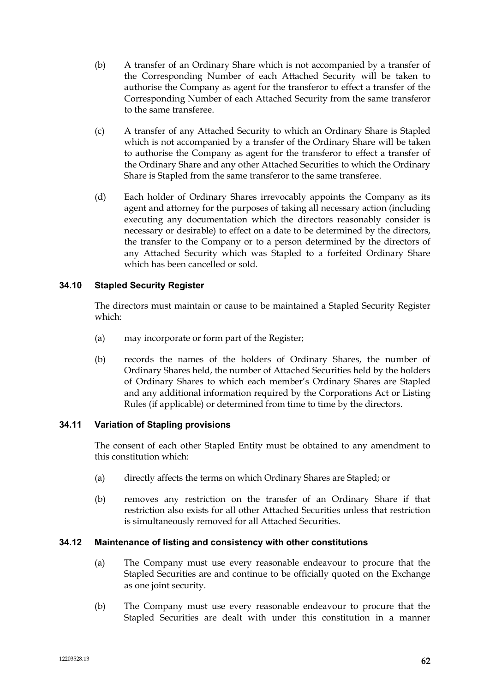- (b) A transfer of an Ordinary Share which is not accompanied by a transfer of the Corresponding Number of each Attached Security will be taken to authorise the Company as agent for the transferor to effect a transfer of the Corresponding Number of each Attached Security from the same transferor to the same transferee.
- (c) A transfer of any Attached Security to which an Ordinary Share is Stapled which is not accompanied by a transfer of the Ordinary Share will be taken to authorise the Company as agent for the transferor to effect a transfer of the Ordinary Share and any other Attached Securities to which the Ordinary Share is Stapled from the same transferor to the same transferee.
- (d) Each holder of Ordinary Shares irrevocably appoints the Company as its agent and attorney for the purposes of taking all necessary action (including executing any documentation which the directors reasonably consider is necessary or desirable) to effect on a date to be determined by the directors, the transfer to the Company or to a person determined by the directors of any Attached Security which was Stapled to a forfeited Ordinary Share which has been cancelled or sold.

# **34.10 Stapled Security Register**

The directors must maintain or cause to be maintained a Stapled Security Register which:

- (a) may incorporate or form part of the Register;
- (b) records the names of the holders of Ordinary Shares, the number of Ordinary Shares held, the number of Attached Securities held by the holders of Ordinary Shares to which each member's Ordinary Shares are Stapled and any additional information required by the Corporations Act or Listing Rules (if applicable) or determined from time to time by the directors.

# **34.11 Variation of Stapling provisions**

The consent of each other Stapled Entity must be obtained to any amendment to this constitution which:

- (a) directly affects the terms on which Ordinary Shares are Stapled; or
- (b) removes any restriction on the transfer of an Ordinary Share if that restriction also exists for all other Attached Securities unless that restriction is simultaneously removed for all Attached Securities.

# **34.12 Maintenance of listing and consistency with other constitutions**

- (a) The Company must use every reasonable endeavour to procure that the Stapled Securities are and continue to be officially quoted on the Exchange as one joint security.
- (b) The Company must use every reasonable endeavour to procure that the Stapled Securities are dealt with under this constitution in a manner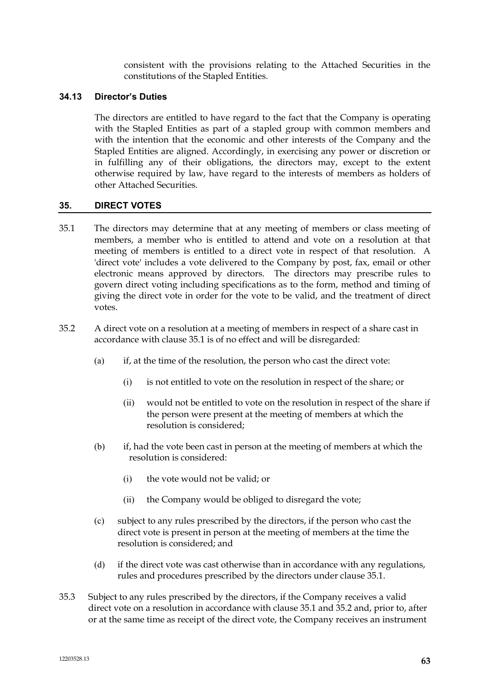consistent with the provisions relating to the Attached Securities in the constitutions of the Stapled Entities.

### **34.13 Director's Duties**

The directors are entitled to have regard to the fact that the Company is operating with the Stapled Entities as part of a stapled group with common members and with the intention that the economic and other interests of the Company and the Stapled Entities are aligned. Accordingly, in exercising any power or discretion or in fulfilling any of their obligations, the directors may, except to the extent otherwise required by law, have regard to the interests of members as holders of other Attached Securities.

#### **35. DIRECT VOTES**

- 35.1 The directors may determine that at any meeting of members or class meeting of members, a member who is entitled to attend and vote on a resolution at that meeting of members is entitled to a direct vote in respect of that resolution. A 'direct vote' includes a vote delivered to the Company by post, fax, email or other electronic means approved by directors. The directors may prescribe rules to govern direct voting including specifications as to the form, method and timing of giving the direct vote in order for the vote to be valid, and the treatment of direct votes.
- 35.2 A direct vote on a resolution at a meeting of members in respect of a share cast in accordance with clause 35.1 is of no effect and will be disregarded:
	- (a) if, at the time of the resolution, the person who cast the direct vote:
		- (i) is not entitled to vote on the resolution in respect of the share; or
		- (ii) would not be entitled to vote on the resolution in respect of the share if the person were present at the meeting of members at which the resolution is considered;
	- (b) if, had the vote been cast in person at the meeting of members at which the resolution is considered:
		- (i) the vote would not be valid; or
		- (ii) the Company would be obliged to disregard the vote;
	- (c) subject to any rules prescribed by the directors, if the person who cast the direct vote is present in person at the meeting of members at the time the resolution is considered; and
	- (d) if the direct vote was cast otherwise than in accordance with any regulations, rules and procedures prescribed by the directors under clause 35.1.
- 35.3 Subject to any rules prescribed by the directors, if the Company receives a valid direct vote on a resolution in accordance with clause 35.1 and 35.2 and, prior to, after or at the same time as receipt of the direct vote, the Company receives an instrument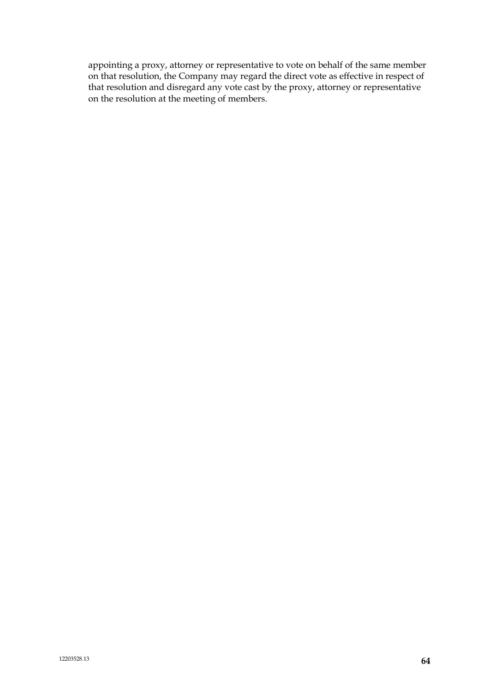appointing a proxy, attorney or representative to vote on behalf of the same member on that resolution, the Company may regard the direct vote as effective in respect of that resolution and disregard any vote cast by the proxy, attorney or representative on the resolution at the meeting of members.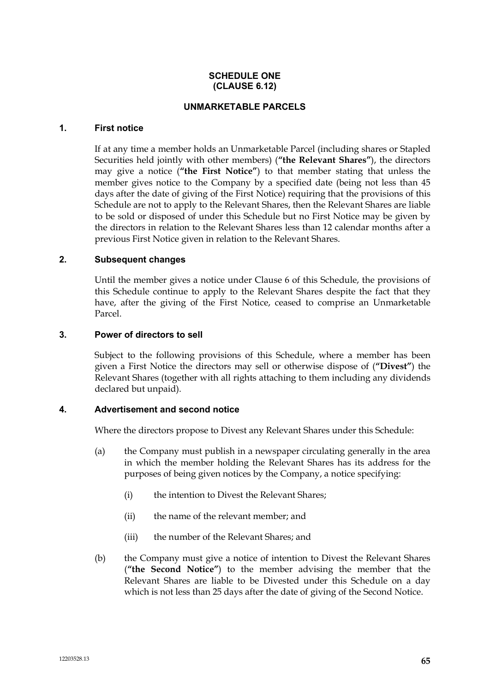# **SCHEDULE ONE (CLAUSE 6.12)**

# **UNMARKETABLE PARCELS**

# **1. First notice**

If at any time a member holds an Unmarketable Parcel (including shares or Stapled Securities held jointly with other members) (**"the Relevant Shares"**), the directors may give a notice (**"the First Notice"**) to that member stating that unless the member gives notice to the Company by a specified date (being not less than 45 days after the date of giving of the First Notice) requiring that the provisions of this Schedule are not to apply to the Relevant Shares, then the Relevant Shares are liable to be sold or disposed of under this Schedule but no First Notice may be given by the directors in relation to the Relevant Shares less than 12 calendar months after a previous First Notice given in relation to the Relevant Shares.

### **2. Subsequent changes**

Until the member gives a notice under Clause 6 of this Schedule, the provisions of this Schedule continue to apply to the Relevant Shares despite the fact that they have, after the giving of the First Notice, ceased to comprise an Unmarketable Parcel.

### **3. Power of directors to sell**

Subject to the following provisions of this Schedule, where a member has been given a First Notice the directors may sell or otherwise dispose of (**"Divest"**) the Relevant Shares (together with all rights attaching to them including any dividends declared but unpaid).

# **4. Advertisement and second notice**

Where the directors propose to Divest any Relevant Shares under this Schedule:

- (a) the Company must publish in a newspaper circulating generally in the area in which the member holding the Relevant Shares has its address for the purposes of being given notices by the Company, a notice specifying:
	- (i) the intention to Divest the Relevant Shares;
	- (ii) the name of the relevant member; and
	- (iii) the number of the Relevant Shares; and
- (b) the Company must give a notice of intention to Divest the Relevant Shares (**"the Second Notice"**) to the member advising the member that the Relevant Shares are liable to be Divested under this Schedule on a day which is not less than 25 days after the date of giving of the Second Notice.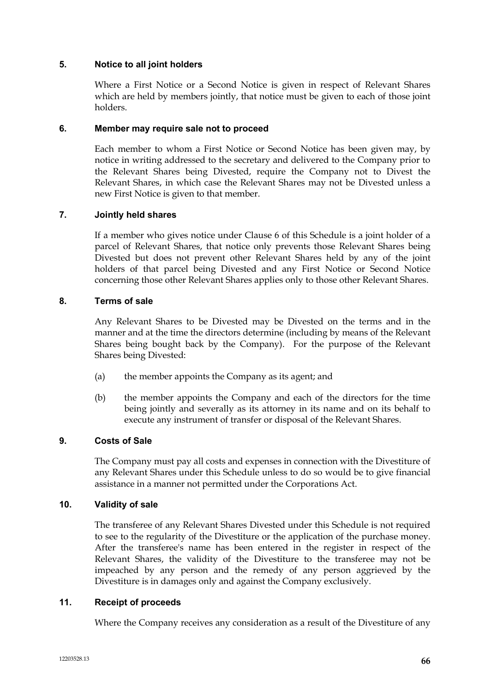# **5. Notice to all joint holders**

Where a First Notice or a Second Notice is given in respect of Relevant Shares which are held by members jointly, that notice must be given to each of those joint holders.

# **6. Member may require sale not to proceed**

Each member to whom a First Notice or Second Notice has been given may, by notice in writing addressed to the secretary and delivered to the Company prior to the Relevant Shares being Divested, require the Company not to Divest the Relevant Shares, in which case the Relevant Shares may not be Divested unless a new First Notice is given to that member.

# **7. Jointly held shares**

If a member who gives notice under Clause 6 of this Schedule is a joint holder of a parcel of Relevant Shares, that notice only prevents those Relevant Shares being Divested but does not prevent other Relevant Shares held by any of the joint holders of that parcel being Divested and any First Notice or Second Notice concerning those other Relevant Shares applies only to those other Relevant Shares.

# **8. Terms of sale**

Any Relevant Shares to be Divested may be Divested on the terms and in the manner and at the time the directors determine (including by means of the Relevant Shares being bought back by the Company). For the purpose of the Relevant Shares being Divested:

- (a) the member appoints the Company as its agent; and
- (b) the member appoints the Company and each of the directors for the time being jointly and severally as its attorney in its name and on its behalf to execute any instrument of transfer or disposal of the Relevant Shares.

# **9. Costs of Sale**

The Company must pay all costs and expenses in connection with the Divestiture of any Relevant Shares under this Schedule unless to do so would be to give financial assistance in a manner not permitted under the Corporations Act.

#### **10. Validity of sale**

The transferee of any Relevant Shares Divested under this Schedule is not required to see to the regularity of the Divestiture or the application of the purchase money. After the transferee's name has been entered in the register in respect of the Relevant Shares, the validity of the Divestiture to the transferee may not be impeached by any person and the remedy of any person aggrieved by the Divestiture is in damages only and against the Company exclusively.

#### **11. Receipt of proceeds**

Where the Company receives any consideration as a result of the Divestiture of any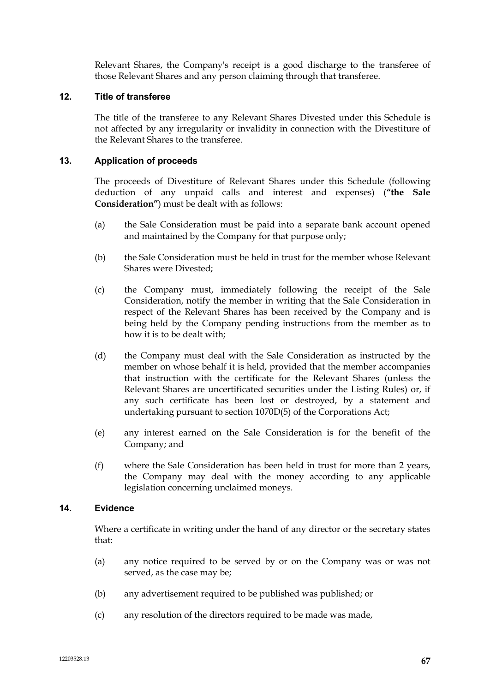Relevant Shares, the Company's receipt is a good discharge to the transferee of those Relevant Shares and any person claiming through that transferee.

# **12. Title of transferee**

The title of the transferee to any Relevant Shares Divested under this Schedule is not affected by any irregularity or invalidity in connection with the Divestiture of the Relevant Shares to the transferee.

# **13. Application of proceeds**

The proceeds of Divestiture of Relevant Shares under this Schedule (following deduction of any unpaid calls and interest and expenses) (**"the Sale Consideration"**) must be dealt with as follows:

- (a) the Sale Consideration must be paid into a separate bank account opened and maintained by the Company for that purpose only;
- (b) the Sale Consideration must be held in trust for the member whose Relevant Shares were Divested;
- (c) the Company must, immediately following the receipt of the Sale Consideration, notify the member in writing that the Sale Consideration in respect of the Relevant Shares has been received by the Company and is being held by the Company pending instructions from the member as to how it is to be dealt with;
- (d) the Company must deal with the Sale Consideration as instructed by the member on whose behalf it is held, provided that the member accompanies that instruction with the certificate for the Relevant Shares (unless the Relevant Shares are uncertificated securities under the Listing Rules) or, if any such certificate has been lost or destroyed, by a statement and undertaking pursuant to section 1070D(5) of the Corporations Act;
- (e) any interest earned on the Sale Consideration is for the benefit of the Company; and
- (f) where the Sale Consideration has been held in trust for more than 2 years, the Company may deal with the money according to any applicable legislation concerning unclaimed moneys.

### **14. Evidence**

Where a certificate in writing under the hand of any director or the secretary states that:

- (a) any notice required to be served by or on the Company was or was not served, as the case may be;
- (b) any advertisement required to be published was published; or
- (c) any resolution of the directors required to be made was made,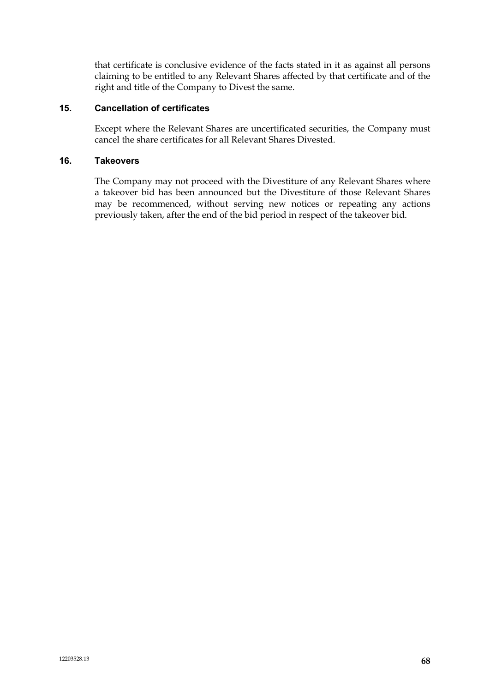that certificate is conclusive evidence of the facts stated in it as against all persons claiming to be entitled to any Relevant Shares affected by that certificate and of the right and title of the Company to Divest the same.

# **15. Cancellation of certificates**

Except where the Relevant Shares are uncertificated securities, the Company must cancel the share certificates for all Relevant Shares Divested.

### **16. Takeovers**

The Company may not proceed with the Divestiture of any Relevant Shares where a takeover bid has been announced but the Divestiture of those Relevant Shares may be recommenced, without serving new notices or repeating any actions previously taken, after the end of the bid period in respect of the takeover bid.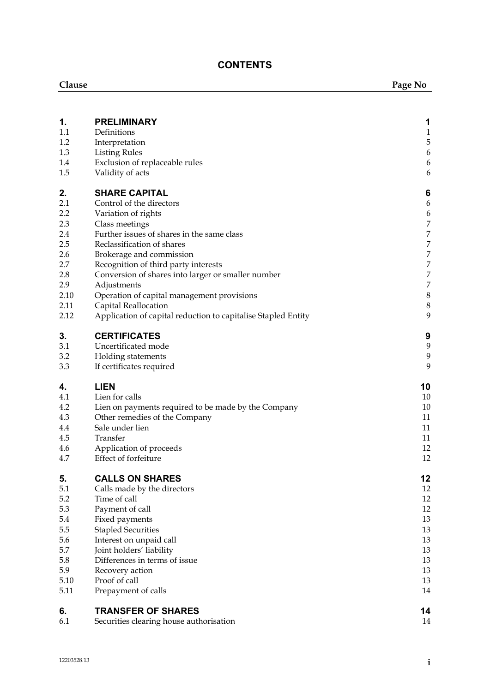# **CONTENTS**

| Clause |                                                               | Page No          |
|--------|---------------------------------------------------------------|------------------|
|        |                                                               |                  |
| 1.     | <b>PRELIMINARY</b>                                            | 1                |
| 1.1    | Definitions                                                   | $\mathbf{1}$     |
| 1.2    | Interpretation                                                | $\mathbf 5$      |
| 1.3    | <b>Listing Rules</b>                                          | $\boldsymbol{6}$ |
| 1.4    | Exclusion of replaceable rules                                | 6                |
| 1.5    | Validity of acts                                              | 6                |
| 2.     | <b>SHARE CAPITAL</b>                                          | 6                |
| 2.1    | Control of the directors                                      | 6                |
| 2.2    | Variation of rights                                           | 6                |
| 2.3    | Class meetings                                                | $\boldsymbol{7}$ |
| 2.4    | Further issues of shares in the same class                    | 7                |
| 2.5    | Reclassification of shares                                    | $\boldsymbol{7}$ |
| 2.6    | Brokerage and commission                                      | $\boldsymbol{7}$ |
| 2.7    | Recognition of third party interests                          | $\boldsymbol{7}$ |
| 2.8    | Conversion of shares into larger or smaller number            | $\overline{7}$   |
| 2.9    | Adjustments                                                   | $\boldsymbol{7}$ |
| 2.10   | Operation of capital management provisions                    | $\,8\,$          |
| 2.11   | Capital Reallocation                                          | $\,8\,$          |
| 2.12   | Application of capital reduction to capitalise Stapled Entity | 9                |
| 3.     | <b>CERTIFICATES</b>                                           | 9                |
| 3.1    | Uncertificated mode                                           | 9                |
| 3.2    | Holding statements                                            | 9                |
| 3.3    | If certificates required                                      | 9                |
| 4.     | <b>LIEN</b>                                                   | 10               |
| 4.1    | Lien for calls                                                | 10               |
| 4.2    | Lien on payments required to be made by the Company           | 10               |
| 4.3    | Other remedies of the Company                                 | 11               |
| 4.4    | Sale under lien                                               | 11               |
| 4.5    | Transfer                                                      | 11               |
| 4.6    | Application of proceeds                                       | 12               |
| 4.7    | Effect of forfeiture                                          | 12               |
| 5.     | <b>CALLS ON SHARES</b>                                        | 12               |
| 5.1    | Calls made by the directors                                   | 12               |
| 5.2    | Time of call                                                  | 12               |
| 5.3    | Payment of call                                               | 12               |
| 5.4    | Fixed payments                                                | 13               |
| 5.5    | <b>Stapled Securities</b>                                     | 13               |
| 5.6    | Interest on unpaid call                                       | 13               |
| 5.7    | Joint holders' liability                                      | 13               |
| 5.8    | Differences in terms of issue                                 | 13               |
| 5.9    | Recovery action                                               | 13               |
| 5.10   | Proof of call                                                 | 13               |
| 5.11   | Prepayment of calls                                           | 14               |
| 6.     | <b>TRANSFER OF SHARES</b>                                     | 14               |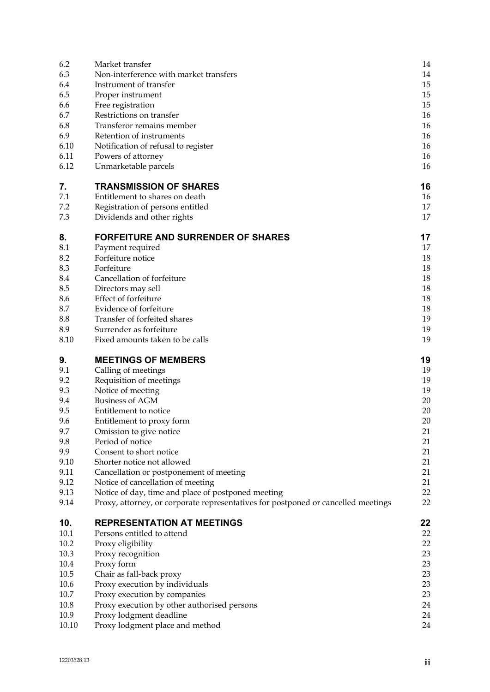| 6.2   | Market transfer                                                                   | 14 |
|-------|-----------------------------------------------------------------------------------|----|
| 6.3   | Non-interference with market transfers                                            | 14 |
| 6.4   | Instrument of transfer                                                            | 15 |
| 6.5   | Proper instrument                                                                 | 15 |
| 6.6   | Free registration                                                                 | 15 |
| 6.7   | Restrictions on transfer                                                          | 16 |
| 6.8   | Transferor remains member                                                         | 16 |
| 6.9   | Retention of instruments                                                          | 16 |
| 6.10  | Notification of refusal to register                                               | 16 |
| 6.11  | Powers of attorney                                                                | 16 |
| 6.12  | Unmarketable parcels                                                              | 16 |
| 7.    | <b>TRANSMISSION OF SHARES</b>                                                     | 16 |
| 7.1   | Entitlement to shares on death                                                    | 16 |
| 7.2   | Registration of persons entitled                                                  | 17 |
| 7.3   | Dividends and other rights                                                        | 17 |
| 8.    | <b>FORFEITURE AND SURRENDER OF SHARES</b>                                         | 17 |
| 8.1   | Payment required                                                                  | 17 |
| 8.2   | Forfeiture notice                                                                 | 18 |
| 8.3   | Forfeiture                                                                        | 18 |
| 8.4   | Cancellation of forfeiture                                                        | 18 |
| 8.5   | Directors may sell                                                                | 18 |
| 8.6   | Effect of forfeiture                                                              | 18 |
| 8.7   | Evidence of forfeiture                                                            | 18 |
| 8.8   | Transfer of forfeited shares                                                      | 19 |
| 8.9   | Surrender as forfeiture                                                           | 19 |
| 8.10  | Fixed amounts taken to be calls                                                   | 19 |
| 9.    | <b>MEETINGS OF MEMBERS</b>                                                        | 19 |
| 9.1   | Calling of meetings                                                               | 19 |
| 9.2   | Requisition of meetings                                                           | 19 |
| 9.3   | Notice of meeting                                                                 | 19 |
| 9.4   | <b>Business of AGM</b>                                                            | 20 |
| 9.5   | Entitlement to notice                                                             | 20 |
| 9.6   | Entitlement to proxy form                                                         | 20 |
| 9.7   | Omission to give notice                                                           | 21 |
| 9.8   | Period of notice                                                                  | 21 |
| 9.9   | Consent to short notice                                                           | 21 |
| 9.10  | Shorter notice not allowed                                                        | 21 |
| 9.11  | Cancellation or postponement of meeting                                           | 21 |
| 9.12  | Notice of cancellation of meeting                                                 | 21 |
| 9.13  | Notice of day, time and place of postponed meeting                                | 22 |
| 9.14  | Proxy, attorney, or corporate representatives for postponed or cancelled meetings | 22 |
| 10.   | <b>REPRESENTATION AT MEETINGS</b>                                                 | 22 |
| 10.1  | Persons entitled to attend                                                        | 22 |
| 10.2  | Proxy eligibility                                                                 | 22 |
| 10.3  | Proxy recognition                                                                 | 23 |
| 10.4  | Proxy form                                                                        | 23 |
| 10.5  | Chair as fall-back proxy                                                          | 23 |
| 10.6  | Proxy execution by individuals                                                    | 23 |
| 10.7  | Proxy execution by companies                                                      | 23 |
| 10.8  | Proxy execution by other authorised persons                                       | 24 |
| 10.9  | Proxy lodgment deadline                                                           | 24 |
| 10.10 | Proxy lodgment place and method                                                   | 24 |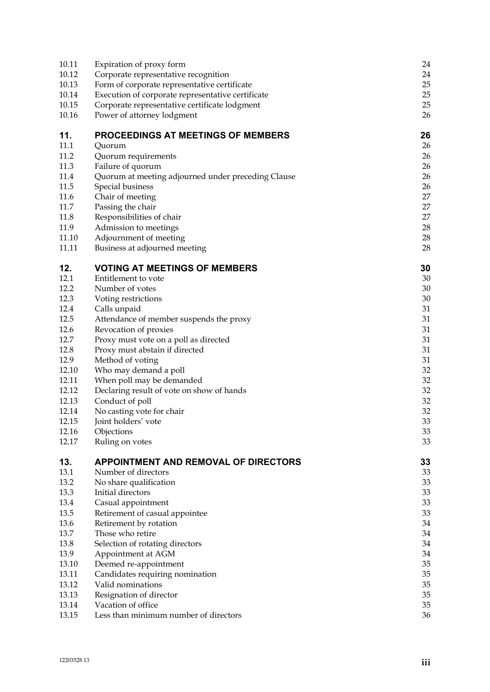| 10.11 | Expiration of proxy form                           | 24 |
|-------|----------------------------------------------------|----|
| 10.12 | Corporate representative recognition               | 24 |
| 10.13 | Form of corporate representative certificate       | 25 |
| 10.14 | Execution of corporate representative certificate  | 25 |
| 10.15 | Corporate representative certificate lodgment      | 25 |
| 10.16 | Power of attorney lodgment                         | 26 |
| 11.   | <b>PROCEEDINGS AT MEETINGS OF MEMBERS</b>          | 26 |
| 11.1  | Quorum                                             | 26 |
| 11.2  | Quorum requirements                                | 26 |
| 11.3  | Failure of quorum                                  | 26 |
| 11.4  | Quorum at meeting adjourned under preceding Clause | 26 |
| 11.5  | Special business                                   | 26 |
| 11.6  | Chair of meeting                                   | 27 |
| 11.7  | Passing the chair                                  | 27 |
| 11.8  | Responsibilities of chair                          | 27 |
| 11.9  | Admission to meetings                              | 28 |
| 11.10 | Adjournment of meeting                             | 28 |
| 11.11 | Business at adjourned meeting                      | 28 |
| 12.   | <b>VOTING AT MEETINGS OF MEMBERS</b>               | 30 |
| 12.1  | Entitlement to vote                                | 30 |
| 12.2  | Number of votes                                    | 30 |
| 12.3  | Voting restrictions                                | 30 |
| 12.4  | Calls unpaid                                       | 31 |
| 12.5  | Attendance of member suspends the proxy            | 31 |
| 12.6  | Revocation of proxies                              | 31 |
| 12.7  | Proxy must vote on a poll as directed              | 31 |
| 12.8  | Proxy must abstain if directed                     | 31 |
| 12.9  | Method of voting                                   | 31 |
| 12.10 | Who may demand a poll                              | 32 |
| 12.11 | When poll may be demanded                          | 32 |
| 12.12 | Declaring result of vote on show of hands          | 32 |
| 12.13 | Conduct of poll                                    | 32 |
| 12.14 | No casting vote for chair                          | 32 |
| 12.15 | Joint holders' vote                                | 33 |
| 12.16 | Objections                                         | 33 |
| 12.17 | Ruling on votes                                    | 33 |
| 13.   | APPOINTMENT AND REMOVAL OF DIRECTORS               | 33 |
| 13.1  | Number of directors                                | 33 |
| 13.2  | No share qualification                             | 33 |
| 13.3  | Initial directors                                  | 33 |
| 13.4  | Casual appointment                                 | 33 |
| 13.5  | Retirement of casual appointee                     | 33 |
| 13.6  | Retirement by rotation                             | 34 |
| 13.7  | Those who retire                                   | 34 |
| 13.8  | Selection of rotating directors                    | 34 |
| 13.9  | Appointment at AGM                                 | 34 |
| 13.10 | Deemed re-appointment                              | 35 |
| 13.11 | Candidates requiring nomination                    | 35 |
| 13.12 | Valid nominations                                  | 35 |
| 13.13 | Resignation of director                            | 35 |
| 13.14 | Vacation of office                                 | 35 |
| 13.15 | Less than minimum number of directors              | 36 |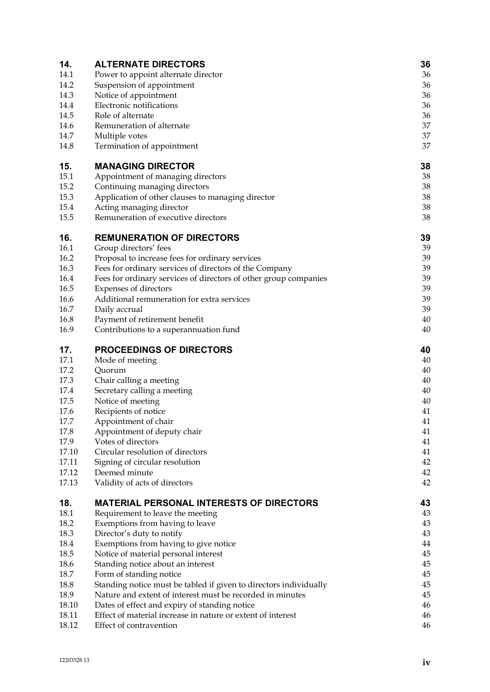| 14.<br>14.1  | <b>ALTERNATE DIRECTORS</b><br>Power to appoint alternate director | 36<br>36 |
|--------------|-------------------------------------------------------------------|----------|
|              |                                                                   |          |
| 14.2         | Suspension of appointment                                         | 36       |
| 14.3         | Notice of appointment                                             | 36       |
| 14.4         | Electronic notifications                                          | 36       |
| 14.5         | Role of alternate                                                 | 36       |
| 14.6         | Remuneration of alternate                                         | 37       |
| 14.7<br>14.8 | Multiple votes<br>Termination of appointment                      | 37<br>37 |
| 15.          | <b>MANAGING DIRECTOR</b>                                          | 38       |
| 15.1         | Appointment of managing directors                                 | 38       |
| 15.2         | Continuing managing directors                                     | 38       |
| 15.3         | Application of other clauses to managing director                 | 38       |
| 15.4         | Acting managing director                                          | 38       |
| 15.5         | Remuneration of executive directors                               | 38       |
| 16.          | <b>REMUNERATION OF DIRECTORS</b>                                  | 39       |
| 16.1         | Group directors' fees                                             | 39       |
| 16.2         | Proposal to increase fees for ordinary services                   | 39       |
| 16.3         | Fees for ordinary services of directors of the Company            | 39       |
| 16.4         | Fees for ordinary services of directors of other group companies  | 39       |
| 16.5         | Expenses of directors                                             | 39       |
| 16.6         | Additional remuneration for extra services                        | 39       |
| 16.7         | Daily accrual                                                     | 39       |
| 16.8         | Payment of retirement benefit                                     | 40       |
| 16.9         | Contributions to a superannuation fund                            | 40       |
| 17.          | <b>PROCEEDINGS OF DIRECTORS</b>                                   | 40       |
| 17.1         | Mode of meeting                                                   | 40       |
| 17.2         | Quorum                                                            | 40       |
| 17.3         | Chair calling a meeting                                           | 40       |
| 17.4         | Secretary calling a meeting                                       | 40       |
| 17.5         | Notice of meeting                                                 | 40       |
| 17.6         | Recipients of notice                                              | 41       |
| 17.7         | Appointment of chair                                              | 41       |
| 17.8         | Appointment of deputy chair                                       | 41       |
| 17.9         | Votes of directors                                                | 41       |
| 17.10        | Circular resolution of directors                                  | 41       |
| 17.11        | Signing of circular resolution                                    | 42       |
| 17.12        | Deemed minute                                                     | 42       |
| 17.13        | Validity of acts of directors                                     | 42       |
| 18.          | <b>MATERIAL PERSONAL INTERESTS OF DIRECTORS</b>                   | 43       |
| 18.1         | Requirement to leave the meeting                                  | 43       |
| 18.2         | Exemptions from having to leave                                   | 43       |
| 18.3         | Director's duty to notify                                         | 43       |
| 18.4         | Exemptions from having to give notice                             | 44       |
| 18.5         | Notice of material personal interest                              | 45       |
| 18.6         | Standing notice about an interest                                 | 45       |
| 18.7         | Form of standing notice                                           | 45       |
| 18.8         | Standing notice must be tabled if given to directors individually | 45       |
| 18.9         | Nature and extent of interest must be recorded in minutes         | 45       |
| 18.10        | Dates of effect and expiry of standing notice                     | 46       |
| 18.11        | Effect of material increase in nature or extent of interest       | 46       |
| 18.12        | Effect of contravention                                           | 46       |
|              |                                                                   |          |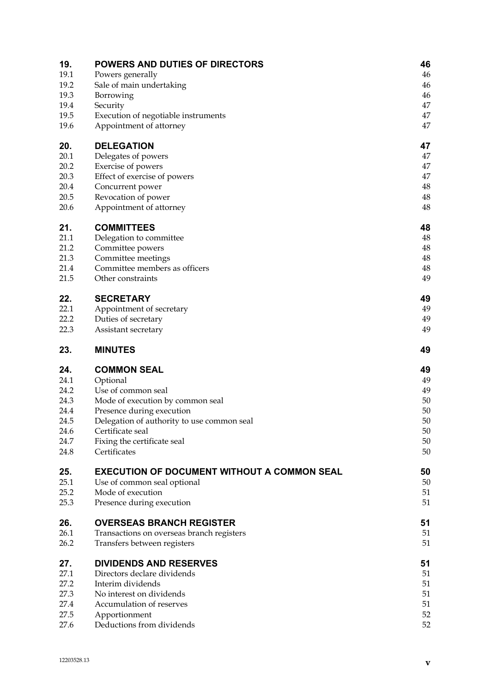| 19.  | <b>POWERS AND DUTIES OF DIRECTORS</b>              | 46 |
|------|----------------------------------------------------|----|
| 19.1 | Powers generally                                   | 46 |
| 19.2 | Sale of main undertaking                           | 46 |
| 19.3 | Borrowing                                          | 46 |
| 19.4 | Security                                           | 47 |
| 19.5 | Execution of negotiable instruments                | 47 |
| 19.6 | Appointment of attorney                            | 47 |
| 20.  | <b>DELEGATION</b>                                  | 47 |
| 20.1 | Delegates of powers                                | 47 |
| 20.2 | Exercise of powers                                 | 47 |
| 20.3 | Effect of exercise of powers                       | 47 |
| 20.4 | Concurrent power                                   | 48 |
| 20.5 | Revocation of power                                | 48 |
| 20.6 | Appointment of attorney                            | 48 |
| 21.  | <b>COMMITTEES</b>                                  | 48 |
| 21.1 | Delegation to committee                            | 48 |
| 21.2 | Committee powers                                   | 48 |
| 21.3 | Committee meetings                                 | 48 |
| 21.4 | Committee members as officers                      | 48 |
| 21.5 | Other constraints                                  | 49 |
| 22.  | <b>SECRETARY</b>                                   | 49 |
| 22.1 | Appointment of secretary                           | 49 |
| 22.2 | Duties of secretary                                | 49 |
| 22.3 | Assistant secretary                                | 49 |
| 23.  | <b>MINUTES</b>                                     | 49 |
| 24.  | <b>COMMON SEAL</b>                                 | 49 |
| 24.1 | Optional                                           | 49 |
| 24.2 | Use of common seal                                 | 49 |
| 24.3 | Mode of execution by common seal                   | 50 |
| 24.4 | Presence during execution                          | 50 |
| 24.5 | Delegation of authority to use common seal         | 50 |
| 24.6 | Certificate seal                                   | 50 |
| 24.7 | Fixing the certificate seal                        | 50 |
| 24.8 | Certificates                                       | 50 |
| 25.  | <b>EXECUTION OF DOCUMENT WITHOUT A COMMON SEAL</b> | 50 |
| 25.1 | Use of common seal optional                        | 50 |
| 25.2 | Mode of execution                                  | 51 |
| 25.3 | Presence during execution                          | 51 |
| 26.  | <b>OVERSEAS BRANCH REGISTER</b>                    | 51 |
| 26.1 | Transactions on overseas branch registers          | 51 |
| 26.2 | Transfers between registers                        | 51 |
| 27.  | <b>DIVIDENDS AND RESERVES</b>                      | 51 |
| 27.1 | Directors declare dividends                        | 51 |
| 27.2 | Interim dividends                                  | 51 |
| 27.3 | No interest on dividends                           | 51 |
| 27.4 | Accumulation of reserves                           | 51 |
| 27.5 | Apportionment                                      | 52 |
| 27.6 | Deductions from dividends                          | 52 |
|      |                                                    |    |